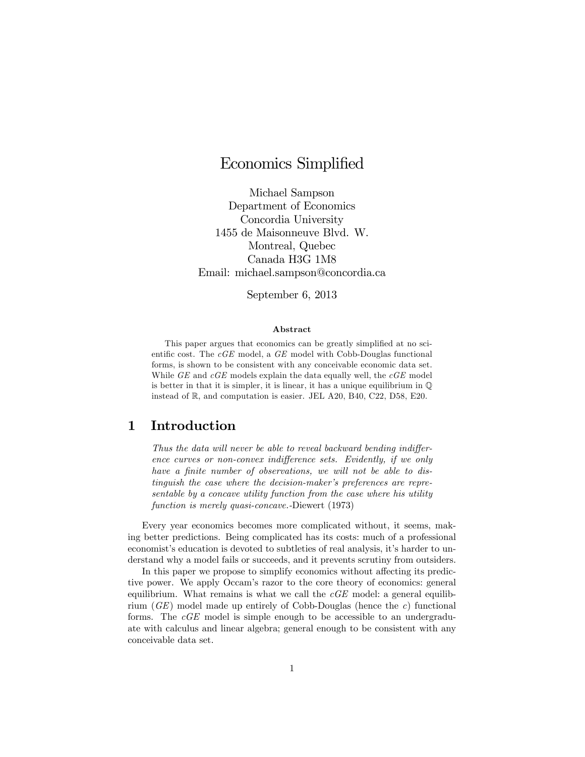# Economics Simplified

Michael Sampson Department of Economics Concordia University 1455 de Maisonneuve Blvd. W. Montreal, Quebec Canada H3G 1M8 Email: michael.sampson@concordia.ca

September 6, 2013

#### Abstract

This paper argues that economics can be greatly simplified at no scientific cost. The  $cGE$  model, a  $GE$  model with Cobb-Douglas functional forms, is shown to be consistent with any conceivable economic data set. While  $GE$  and  $cGE$  models explain the data equally well, the  $cGE$  model is better in that it is simpler, it is linear, it has a unique equilibrium in  $\mathbb{Q}$ instead of R; and computation is easier. JEL A20, B40, C22, D58, E20.

### 1 Introduction

Thus the data will never be able to reveal backward bending indifference curves or non-convex indifference sets. Evidently, if we only have a finite number of observations, we will not be able to distinguish the case where the decision-maker's preferences are representable by a concave utility function from the case where his utility function is merely quasi-concave.-Diewert (1973)

Every year economics becomes more complicated without, it seems, making better predictions. Being complicated has its costs: much of a professional economist's education is devoted to subtleties of real analysis, it's harder to understand why a model fails or succeeds, and it prevents scrutiny from outsiders.

In this paper we propose to simplify economics without affecting its predictive power. We apply Occam's razor to the core theory of economics: general equilibrium. What remains is what we call the  $cGE$  model: a general equilibrium  $(GE)$  model made up entirely of Cobb-Douglas (hence the c) functional forms. The cGE model is simple enough to be accessible to an undergraduate with calculus and linear algebra; general enough to be consistent with any conceivable data set.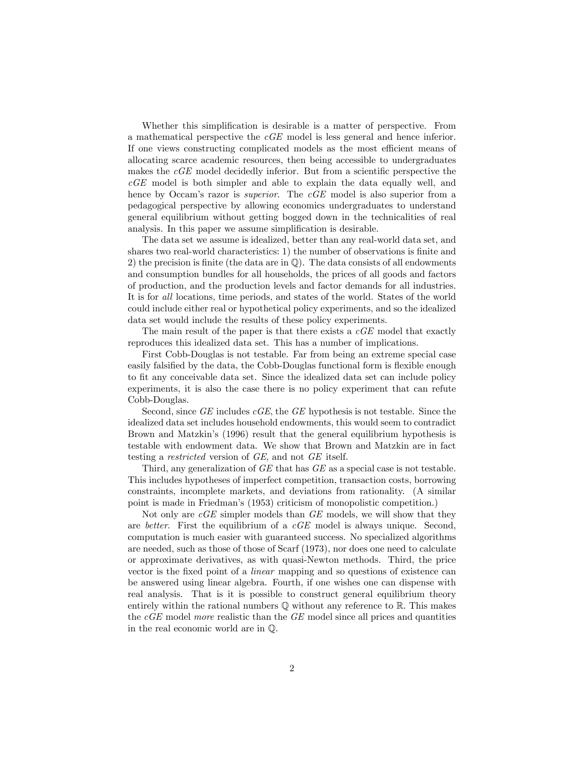Whether this simplification is desirable is a matter of perspective. From a mathematical perspective the cGE model is less general and hence inferior. If one views constructing complicated models as the most efficient means of allocating scarce academic resources, then being accessible to undergraduates makes the  $cGE$  model decidedly inferior. But from a scientific perspective the  $cGE$  model is both simpler and able to explain the data equally well, and hence by Occam's razor is *superior*. The  $cGE$  model is also superior from a pedagogical perspective by allowing economics undergraduates to understand general equilibrium without getting bogged down in the technicalities of real analysis. In this paper we assume simplification is desirable.

The data set we assume is idealized, better than any real-world data set, and shares two real-world characteristics: 1) the number of observations is finite and 2) the precision is finite (the data are in  $\mathbb{Q}$ ). The data consists of all endowments and consumption bundles for all households, the prices of all goods and factors of production, and the production levels and factor demands for all industries. It is for all locations, time periods, and states of the world. States of the world could include either real or hypothetical policy experiments, and so the idealized data set would include the results of these policy experiments.

The main result of the paper is that there exists a  $cGE$  model that exactly reproduces this idealized data set. This has a number of implications.

First Cobb-Douglas is not testable. Far from being an extreme special case easily falsified by the data, the Cobb-Douglas functional form is flexible enough to fit any conceivable data set. Since the idealized data set can include policy experiments, it is also the case there is no policy experiment that can refute Cobb-Douglas.

Second, since  $GE$  includes  $cGE$ , the  $GE$  hypothesis is not testable. Since the idealized data set includes household endowments, this would seem to contradict Brown and Matzkin's (1996) result that the general equilibrium hypothesis is testable with endowment data. We show that Brown and Matzkin are in fact testing a restricted version of GE, and not GE itself.

Third, any generalization of GE that has GE as a special case is not testable. This includes hypotheses of imperfect competition, transaction costs, borrowing constraints, incomplete markets, and deviations from rationality. (A similar point is made in Friedmanís (1953) criticism of monopolistic competition.)

Not only are  $cGE$  simpler models than  $GE$  models, we will show that they are better. First the equilibrium of a cGE model is always unique. Second, computation is much easier with guaranteed success. No specialized algorithms are needed, such as those of those of Scarf (1973), nor does one need to calculate or approximate derivatives, as with quasi-Newton methods. Third, the price vector is the fixed point of a *linear* mapping and so questions of existence can be answered using linear algebra. Fourth, if one wishes one can dispense with real analysis. That is it is possible to construct general equilibrium theory entirely within the rational numbers  $\mathbb Q$  without any reference to  $\mathbb R$ . This makes the  $cGE$  model more realistic than the  $GE$  model since all prices and quantities in the real economic world are in Q: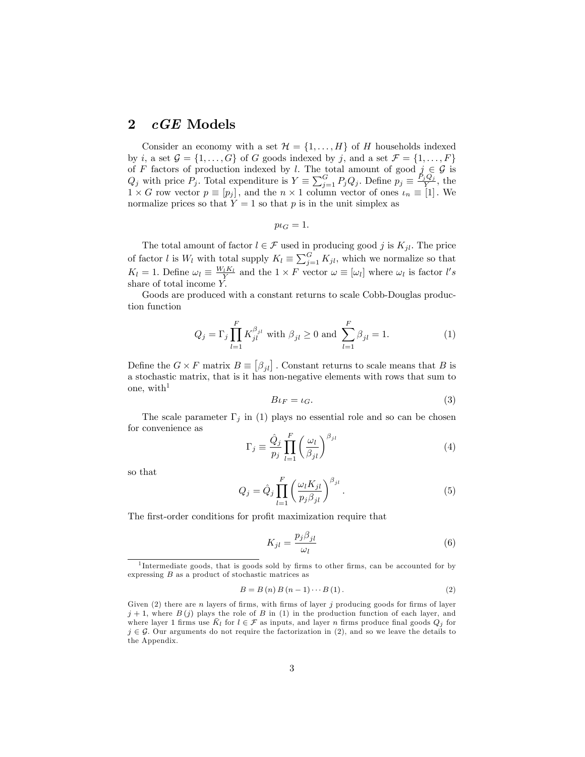### 2 *cGE* Models

Consider an economy with a set  $\mathcal{H} = \{1, \ldots, H\}$  of H households indexed by i, a set  $\mathcal{G} = \{1, \ldots, G\}$  of G goods indexed by j, and a set  $\mathcal{F} = \{1, \ldots, F\}$ of F factors of production indexed by l. The total amount of good  $j \in \mathcal{G}$  is  $Q_j$  with price  $P_j$ . Total expenditure is  $Y \equiv \sum_{j=1}^G P_j Q_j$ . Define  $p_j \equiv \frac{P_j Q_j}{Y}$ , the  $1 \times G$  row vector  $p \equiv [p_j]$ , and the  $n \times 1$  column vector of ones  $\iota_n \equiv [1]$ . We normalize prices so that  $Y = 1$  so that p is in the unit simplex as

$$
p\iota_G=1.
$$

The total amount of factor  $l \in \mathcal{F}$  used in producing good j is  $K_{jl}$ . The price of factor l is  $W_l$  with total supply  $K_l \equiv \sum_{j=1}^G K_{jl}$ , which we normalize so that  $K_l = 1$ . Define  $\omega_l \equiv \frac{W_l K_l}{Y}$  and the  $1 \times F$  vector  $\omega \equiv [\omega_l]$  where  $\omega_l$  is factor l's share of total income Y.

Goods are produced with a constant returns to scale Cobb-Douglas production function

$$
Q_j = \Gamma_j \prod_{l=1}^F K_{jl}^{\beta_{jl}} \text{ with } \beta_{jl} \ge 0 \text{ and } \sum_{l=1}^F \beta_{jl} = 1. \tag{1}
$$

Define the  $G \times F$  matrix  $B \equiv [\beta_{jl}]$ . Constant returns to scale means that B is a stochastic matrix, that is it has non-negative elements with rows that sum to one, with<sup>1</sup>

$$
B\iota_F = \iota_G. \tag{3}
$$

The scale parameter  $\Gamma_j$  in (1) plays no essential role and so can be chosen for convenience as

$$
\Gamma_j \equiv \frac{\hat{Q}_j}{p_j} \prod_{l=1}^F \left(\frac{\omega_l}{\beta_{jl}}\right)^{\beta_{jl}} \tag{4}
$$

so that

$$
Q_j = \hat{Q}_j \prod_{l=1}^F \left(\frac{\omega_l K_{jl}}{p_j \beta_{jl}}\right)^{\beta_{jl}}.
$$
\n(5)

The first-order conditions for profit maximization require that

$$
K_{jl} = \frac{p_j \beta_{jl}}{\omega_l} \tag{6}
$$

$$
B = B(n) B(n-1) \cdots B(1).
$$
 (2)

<sup>&</sup>lt;sup>1</sup>Intermediate goods, that is goods sold by firms to other firms, can be accounted for by expressing  $B$  as a product of stochastic matrices as

Given  $(2)$  there are n layers of firms, with firms of layer j producing goods for firms of layer  $j + 1$ , where  $B(j)$  plays the role of B in (1) in the production function of each layer, and where layer 1 firms use  $\bar{K}_l$  for  $l \in \mathcal{F}$  as inputs, and layer n firms produce final goods  $Q_j$  for  $j \in \mathcal{G}$ . Our arguments do not require the factorization in (2), and so we leave the details to the Appendix.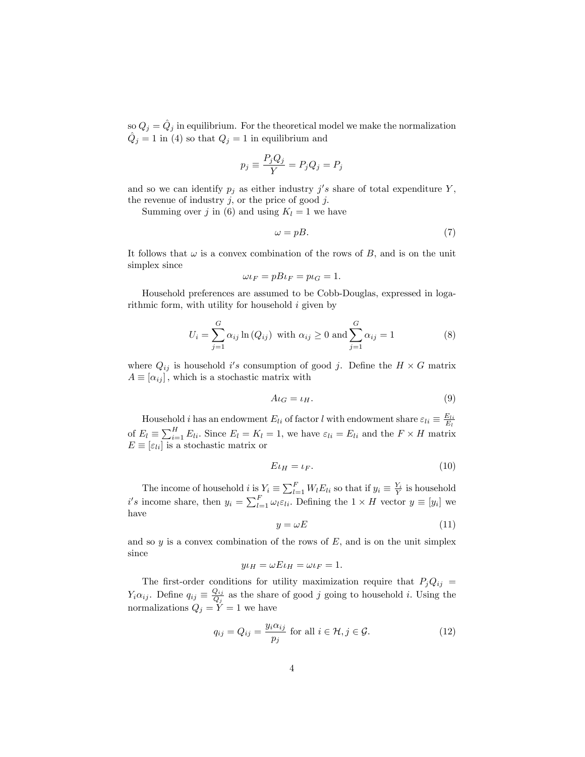so  $Q_j = \hat{Q}_j$  in equilibrium. For the theoretical model we make the normalization  $\hat{Q}_j = 1$  in (4) so that  $Q_j = 1$  in equilibrium and

$$
p_j \equiv \frac{P_j Q_j}{Y} = P_j Q_j = P_j
$$

and so we can identify  $p_j$  as either industry  $j's$  share of total expenditure Y, the revenue of industry  $j$ , or the price of good  $j$ .

Summing over j in (6) and using  $K_l = 1$  we have

$$
\omega = pB. \tag{7}
$$

It follows that  $\omega$  is a convex combination of the rows of B, and is on the unit simplex since

$$
\omega \iota_F = p B \iota_F = p \iota_G = 1.
$$

Household preferences are assumed to be Cobb-Douglas, expressed in logarithmic form, with utility for household  $i$  given by

$$
U_i = \sum_{j=1}^{G} \alpha_{ij} \ln(Q_{ij}) \text{ with } \alpha_{ij} \ge 0 \text{ and } \sum_{j=1}^{G} \alpha_{ij} = 1
$$
 (8)

where  $Q_{ij}$  is household i's consumption of good j. Define the  $H \times G$  matrix  $A \equiv [\alpha_{ij}]$ , which is a stochastic matrix with

$$
A\iota_G = \iota_H. \tag{9}
$$

Household *i* has an endowment  $E_{li}$  of factor *l* with endowment share  $\varepsilon_{li} \equiv \frac{E_{li}}{E_l}$ of  $E_l \equiv \sum_{i=1}^H E_{li}$ . Since  $E_l = K_l = 1$ , we have  $\varepsilon_{li} = E_{li}$  and the  $F \times H$  matrix  $E \equiv \left[\varepsilon_{li}\right]$  is a stochastic matrix or

$$
E \iota_H = \iota_F. \tag{10}
$$

The income of household  $i$  is  $Y_i \equiv \sum_{l=1}^{F} W_l E_{li}$  so that if  $y_i \equiv \frac{Y_i}{Y}$  is household  $i's$  income share, then  $y_i = \sum_{l=1}^F \omega_l \varepsilon_{li}$ . Defining the  $1 \times H$  vector  $y \equiv [y_i]$  we have

$$
y = \omega E \tag{11}
$$

and so  $y$  is a convex combination of the rows of  $E$ , and is on the unit simplex since

$$
y\iota_H = \omega E \iota_H = \omega \iota_F = 1.
$$

The first-order conditions for utility maximization require that  $P_jQ_{ij}$  =  $Y_i \alpha_{ij}$ . Define  $q_{ij} \equiv \frac{Q_{ij}}{Q_j}$  $\frac{Q_{ij}}{Q_j}$  as the share of good j going to household i. Using the normalizations  $Q_j = Y = 1$  we have

$$
q_{ij} = Q_{ij} = \frac{y_i \alpha_{ij}}{p_j} \text{ for all } i \in \mathcal{H}, j \in \mathcal{G}.
$$
 (12)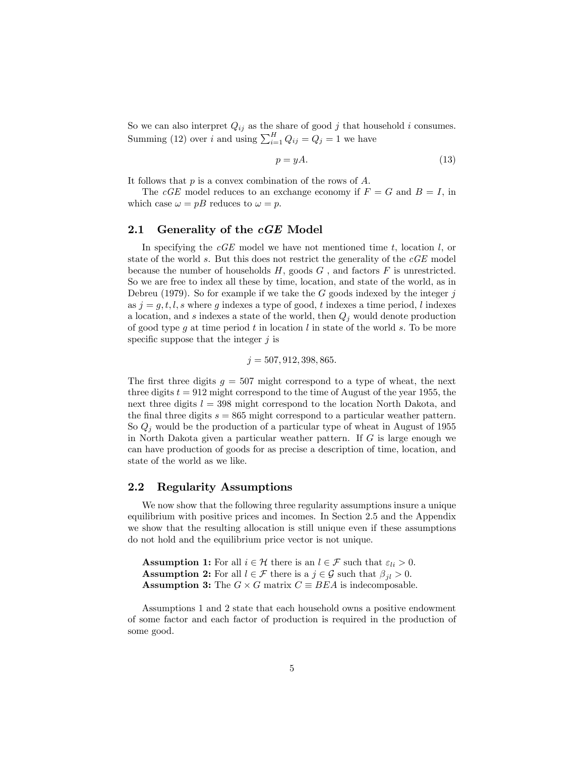So we can also interpret  $Q_{ij}$  as the share of good j that household i consumes. Summing (12) over i and using  $\sum_{i=1}^{H} Q_{ij} = Q_j = 1$  we have

$$
p = yA.\t\t(13)
$$

It follows that  $p$  is a convex combination of the rows of  $A$ .

The cGE model reduces to an exchange economy if  $F = G$  and  $B = I$ , in which case  $\omega = pB$  reduces to  $\omega = p$ .

#### 2.1 Generality of the  $cGE$  Model

In specifying the  $cGE$  model we have not mentioned time t, location  $l$ , or state of the world s. But this does not restrict the generality of the cGE model because the number of households  $H$ , goods  $G$ , and factors  $F$  is unrestricted. So we are free to index all these by time, location, and state of the world, as in Debreu (1979). So for example if we take the  $G$  goods indexed by the integer  $j$ as  $j = g, t, l, s$  where g indexes a type of good, t indexes a time period, l indexes a location, and s indexes a state of the world, then  $Q_i$  would denote production of good type g at time period t in location  $l$  in state of the world s. To be more specific suppose that the integer  $j$  is

$$
j = 507, 912, 398, 865.
$$

The first three digits  $q = 507$  might correspond to a type of wheat, the next three digits  $t = 912$  might correspond to the time of August of the year 1955, the next three digits  $l = 398$  might correspond to the location North Dakota, and the final three digits  $s = 865$  might correspond to a particular weather pattern. So  $Q_i$  would be the production of a particular type of wheat in August of 1955 in North Dakota given a particular weather pattern. If  $G$  is large enough we can have production of goods for as precise a description of time, location, and state of the world as we like.

#### 2.2 Regularity Assumptions

We now show that the following three regularity assumptions insure a unique equilibrium with positive prices and incomes. In Section 2.5 and the Appendix we show that the resulting allocation is still unique even if these assumptions do not hold and the equilibrium price vector is not unique.

**Assumption 1:** For all  $i \in \mathcal{H}$  there is an  $l \in \mathcal{F}$  such that  $\varepsilon_{li} > 0$ . **Assumption 2:** For all  $l \in \mathcal{F}$  there is a  $j \in \mathcal{G}$  such that  $\beta_{il} > 0$ . **Assumption 3:** The  $G \times G$  matrix  $C \equiv BEA$  is indecomposable.

Assumptions 1 and 2 state that each household owns a positive endowment of some factor and each factor of production is required in the production of some good.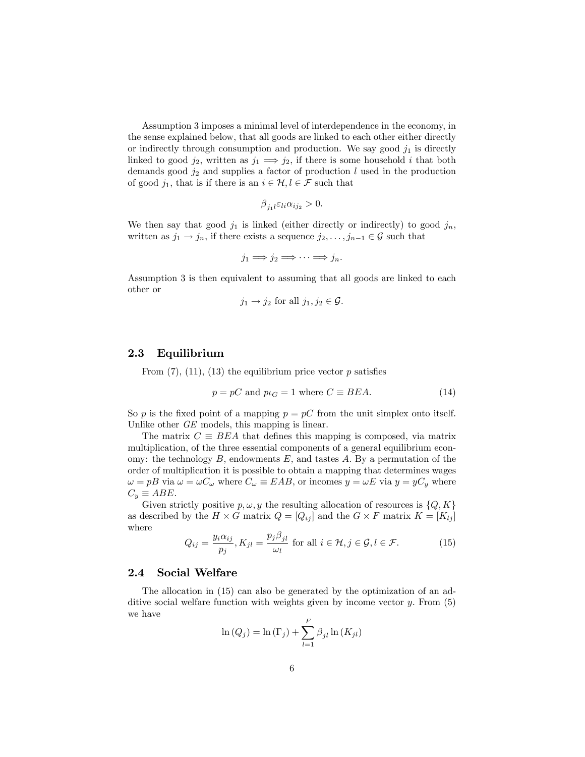Assumption 3 imposes a minimal level of interdependence in the economy, in the sense explained below, that all goods are linked to each other either directly or indirectly through consumption and production. We say good  $j_1$  is directly linked to good  $j_2$ , written as  $j_1 \implies j_2$ , if there is some household i that both demands good  $j_2$  and supplies a factor of production l used in the production of good  $j_1$ , that is if there is an  $i \in \mathcal{H}, l \in \mathcal{F}$  such that

$$
\beta_{j_1l}\varepsilon_{li}\alpha_{ij_2}>0.
$$

We then say that good  $j_1$  is linked (either directly or indirectly) to good  $j_n$ , written as  $j_1 \rightarrow j_n$ , if there exists a sequence  $j_2, \ldots, j_{n-1} \in \mathcal{G}$  such that

$$
j_1 \Longrightarrow j_2 \Longrightarrow \cdots \Longrightarrow j_n.
$$

Assumption 3 is then equivalent to assuming that all goods are linked to each other or

$$
j_1 \rightarrow j_2
$$
 for all  $j_1, j_2 \in \mathcal{G}$ .

#### 2.3 Equilibrium

From  $(7)$ ,  $(11)$ ,  $(13)$  the equilibrium price vector p satisfies

$$
p = pC \text{ and } p \iota_G = 1 \text{ where } C \equiv BEA. \tag{14}
$$

So p is the fixed point of a mapping  $p = pC$  from the unit simplex onto itself. Unlike other GE models, this mapping is linear.

The matrix  $C \equiv BEA$  that defines this mapping is composed, via matrix multiplication, of the three essential components of a general equilibrium economy: the technology  $B$ , endowments  $E$ , and tastes  $A$ . By a permutation of the order of multiplication it is possible to obtain a mapping that determines wages  $\omega = pB$  via  $\omega = \omega C_{\omega}$  where  $C_{\omega} \equiv EAB$ , or incomes  $y = \omega E$  via  $y = yC_y$  where  $C_y \equiv ABE$ .

Given strictly positive  $p, \omega, y$  the resulting allocation of resources is  $\{Q, K\}$ as described by the  $H \times G$  matrix  $Q = [Q_{ij}]$  and the  $G \times F$  matrix  $K = [K_{lj}]$ where

$$
Q_{ij} = \frac{y_i \alpha_{ij}}{p_j}, K_{jl} = \frac{p_j \beta_{jl}}{\omega_l} \text{ for all } i \in \mathcal{H}, j \in \mathcal{G}, l \in \mathcal{F}.
$$
 (15)

#### 2.4 Social Welfare

The allocation in (15) can also be generated by the optimization of an additive social welfare function with weights given by income vector  $y$ . From  $(5)$ we have  $\overline{r}$ 

$$
\ln(Q_j) = \ln(\Gamma_j) + \sum_{l=1}^{r} \beta_{jl} \ln(K_{jl})
$$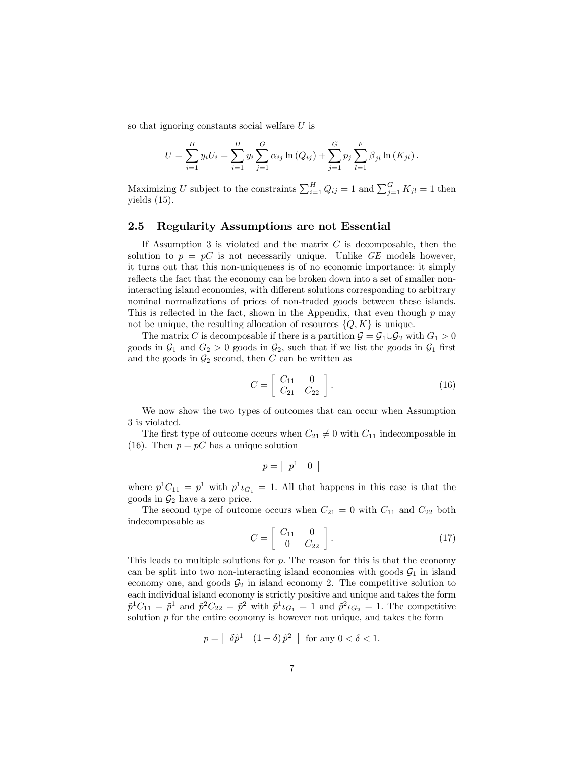so that ignoring constants social welfare U is

$$
U = \sum_{i=1}^{H} y_i U_i = \sum_{i=1}^{H} y_i \sum_{j=1}^{G} \alpha_{ij} \ln (Q_{ij}) + \sum_{j=1}^{G} p_j \sum_{l=1}^{F} \beta_{jl} \ln (K_{jl}).
$$

Maximizing U subject to the constraints  $\sum_{i=1}^{H} Q_{ij} = 1$  and  $\sum_{j=1}^{G} K_{jl} = 1$  then yields (15).

#### 2.5 Regularity Assumptions are not Essential

If Assumption 3 is violated and the matrix  $C$  is decomposable, then the solution to  $p = pC$  is not necessarily unique. Unlike GE models however, it turns out that this non-uniqueness is of no economic importance: it simply reflects the fact that the economy can be broken down into a set of smaller noninteracting island economies, with different solutions corresponding to arbitrary nominal normalizations of prices of non-traded goods between these islands. This is reflected in the fact, shown in the Appendix, that even though  $p$  may not be unique, the resulting allocation of resources  $\{Q, K\}$  is unique.

The matrix C is decomposable if there is a partition  $\mathcal{G} = \mathcal{G}_1 \cup \mathcal{G}_2$  with  $G_1 > 0$ goods in  $\mathcal{G}_1$  and  $G_2 > 0$  goods in  $\mathcal{G}_2$ , such that if we list the goods in  $\mathcal{G}_1$  first and the goods in  $\mathcal{G}_2$  second, then C can be written as

$$
C = \left[ \begin{array}{cc} C_{11} & 0 \\ C_{21} & C_{22} \end{array} \right].
$$
 (16)

We now show the two types of outcomes that can occur when Assumption 3 is violated.

The first type of outcome occurs when  $C_{21} \neq 0$  with  $C_{11}$  indecomposable in (16). Then  $p = pC$  has a unique solution

$$
p = \left[ \begin{array}{cc} p^1 & 0 \end{array} \right]
$$

where  $p^1C_{11} = p^1$  with  $p^1 \iota_{G_1} = 1$ . All that happens in this case is that the goods in  $\mathcal{G}_2$  have a zero price.

The second type of outcome occurs when  $C_{21} = 0$  with  $C_{11}$  and  $C_{22}$  both indecomposable as

$$
C = \left[ \begin{array}{cc} C_{11} & 0 \\ 0 & C_{22} \end{array} \right]. \tag{17}
$$

This leads to multiple solutions for  $p$ . The reason for this is that the economy can be split into two non-interacting island economies with goods  $\mathcal{G}_1$  in island economy one, and goods  $\mathcal{G}_2$  in island economy 2. The competitive solution to each individual island economy is strictly positive and unique and takes the form  $\tilde{p}^1C_{11} = \tilde{p}^1$  and  $\tilde{p}^2C_{22} = \tilde{p}^2$  with  $\tilde{p}^1\iota_{G_1} = 1$  and  $\tilde{p}^2\iota_{G_2} = 1$ . The competitive solution  $p$  for the entire economy is however not unique, and takes the form

$$
p = \left[\begin{array}{cc} \delta \tilde{p}^1 & \left(1-\delta\right) \tilde{p}^2 \end{array}\right] \text{ for any } 0 < \delta < 1.
$$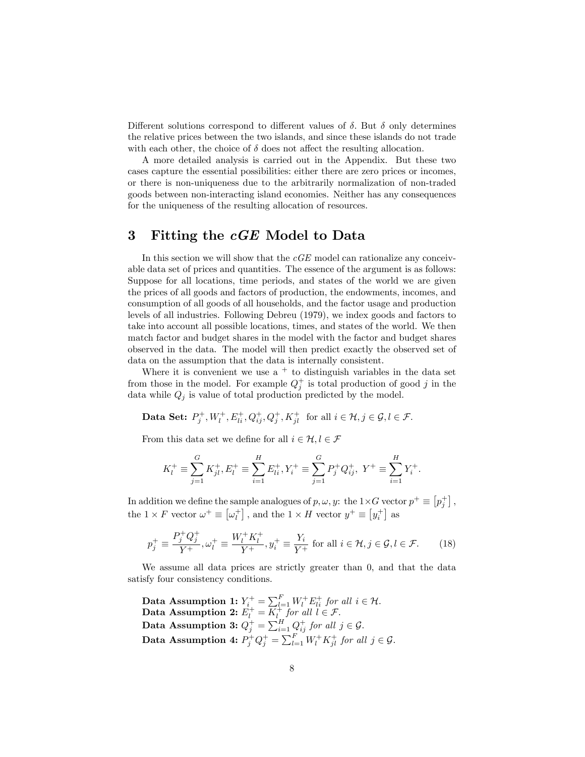Different solutions correspond to different values of  $\delta$ . But  $\delta$  only determines the relative prices between the two islands, and since these islands do not trade with each other, the choice of  $\delta$  does not affect the resulting allocation.

A more detailed analysis is carried out in the Appendix. But these two cases capture the essential possibilities: either there are zero prices or incomes, or there is non-uniqueness due to the arbitrarily normalization of non-traded goods between non-interacting island economies. Neither has any consequences for the uniqueness of the resulting allocation of resources.

# 3 Fitting the  $cGE$  Model to Data

In this section we will show that the  $cGE$  model can rationalize any conceivable data set of prices and quantities. The essence of the argument is as follows: Suppose for all locations, time periods, and states of the world we are given the prices of all goods and factors of production, the endowments, incomes, and consumption of all goods of all households, and the factor usage and production levels of all industries. Following Debreu (1979), we index goods and factors to take into account all possible locations, times, and states of the world. We then match factor and budget shares in the model with the factor and budget shares observed in the data. The model will then predict exactly the observed set of data on the assumption that the data is internally consistent.

Where it is convenient we use  $a + to$  distinguish variables in the data set from those in the model. For example  $Q_j^+$  is total production of good j in the data while  $Q_i$  is value of total production predicted by the model.

Data Set:  $P_j^+, W_l^+, E_{li}^+, Q_{ij}^+, Q_j^+, K_{jl}^+$  for all  $i \in \mathcal{H}, j \in \mathcal{G}, l \in \mathcal{F}$ .

From this data set we define for all  $i \in \mathcal{H}, l \in \mathcal{F}$ 

$$
K_l^+ \equiv \sum_{j=1}^G K_{jl}^+, E_l^+ \equiv \sum_{i=1}^H E_{li}^+, Y_i^+ \equiv \sum_{j=1}^G P_j^+ Q_{ij}^+, Y^+ \equiv \sum_{i=1}^H Y_i^+.
$$

In addition we define the sample analogues of  $p, \omega, y$ : the  $1 \times G$  vector  $p^+ \equiv [p^+_j]$ , the  $1 \times F$  vector  $\omega^+ \equiv \left[\omega_i^+\right]$ , and the  $1 \times H$  vector  $y^+ \equiv \left[y_i^+\right]$  as

$$
p_j^+ \equiv \frac{P_j^+ Q_j^+}{Y^+}, \omega_l^+ \equiv \frac{W_l^+ K_l^+}{Y^+}, y_i^+ \equiv \frac{Y_i}{Y^+} \text{ for all } i \in \mathcal{H}, j \in \mathcal{G}, l \in \mathcal{F}.
$$
 (18)

We assume all data prices are strictly greater than 0, and that the data satisfy four consistency conditions.

Data Assumption 1:  $Y_{i}^{+} = \sum_{l=1}^{F} W_{l}^{+} E_{li}^{+}$  for all  $i \in \mathcal{H}$ . Data Assumption 2:  $E_l^+ = \overline{K_l^+}$  for all  $l \in \mathcal{F}$ . Data Assumption 3:  $Q_j^+ = \sum_{i=1}^H Q_{ij}^+$  for all  $j \in \mathcal{G}$ . Data Assumption 4:  $P_j^+ Q_j^+ = \sum_{l=1}^F W_l^+ K_{jl}^+$  for all  $j \in \mathcal{G}$ .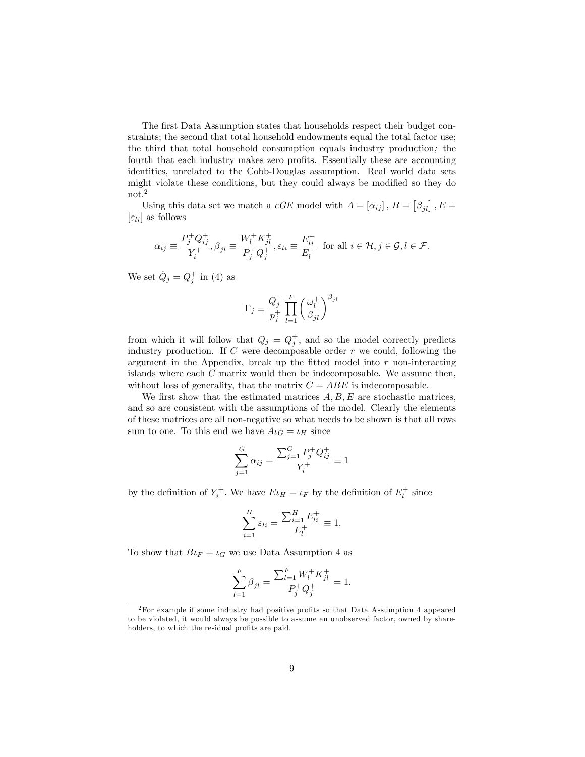The first Data Assumption states that households respect their budget constraints; the second that total household endowments equal the total factor use; the third that total household consumption equals industry production; the fourth that each industry makes zero profits. Essentially these are accounting identities, unrelated to the Cobb-Douglas assumption. Real world data sets might violate these conditions, but they could always be modified so they do not.<sup>2</sup>

Using this data set we match a *cGE* model with  $A = [\alpha_{ij}]$ ,  $B = [\beta_{jl}]$ ,  $E =$  $[\varepsilon_{li}]$  as follows

$$
\alpha_{ij} \equiv \frac{P_j^+ Q_{ij}^+}{Y_i^+}, \beta_{jl} \equiv \frac{W_l^+ K_{jl}^+}{P_j^+ Q_j^+}, \varepsilon_{li} \equiv \frac{E_{li}^+}{E_l^+} \text{ for all } i \in \mathcal{H}, j \in \mathcal{G}, l \in \mathcal{F}.
$$

We set  $\hat{Q}_j = Q_j^+$  in (4) as

$$
\Gamma_j \equiv \frac{Q_j^+}{p_j^+} \prod_{l=1}^F \left(\frac{\omega_l^+}{\beta_{jl}}\right)^{\beta_{jl}}
$$

from which it will follow that  $Q_j = Q_j^+$ , and so the model correctly predicts industry production. If  $C$  were decomposable order  $r$  we could, following the argument in the Appendix, break up the fitted model into  $r$  non-interacting islands where each  $C$  matrix would then be indecomposable. We assume then, without loss of generality, that the matrix  $C = ABE$  is indecomposable.

We first show that the estimated matrices  $A, B, E$  are stochastic matrices, and so are consistent with the assumptions of the model. Clearly the elements of these matrices are all non-negative so what needs to be shown is that all rows sum to one. To this end we have  $A\iota_G = \iota_H$  since

$$
\sum_{j=1}^{G} \alpha_{ij} = \frac{\sum_{j=1}^{G} P_j^+ Q_{ij}^+}{Y_i^+} \equiv 1
$$

by the definition of  $Y_i^+$ . We have  $E \iota_H = \iota_F$  by the definition of  $E_l^+$  since

$$
\sum_{i=1}^{H} \varepsilon_{li} = \frac{\sum_{i=1}^{H} E_{li}^{+}}{E_{l}^{+}} \equiv 1.
$$

To show that  $B\iota_F = \iota_G$  we use Data Assumption 4 as

$$
\sum_{l=1}^{F} \beta_{jl} = \frac{\sum_{l=1}^{F} W_l^+ K_{jl}^+}{P_j^+ Q_j^+} = 1.
$$

 ${}^{2}$ For example if some industry had positive profits so that Data Assumption 4 appeared to be violated, it would always be possible to assume an unobserved factor, owned by shareholders, to which the residual profits are paid.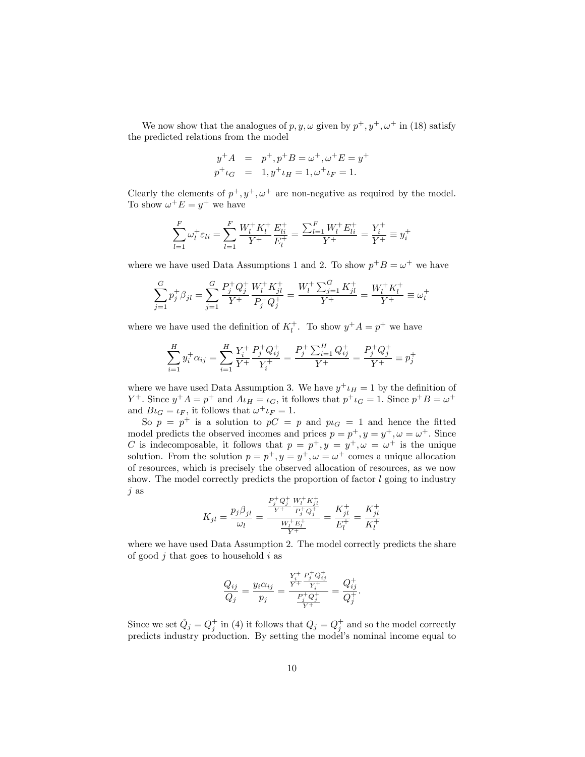We now show that the analogues of p, y,  $\omega$  given by  $p^+, y^+, \omega^+$  in (18) satisfy the predicted relations from the model

$$
y^{+}A = p^{+}, p^{+}B = \omega^{+}, \omega^{+}E = y^{+}
$$
  

$$
p^{+}{}_{{}^{}}G = 1, y^{+}{}_{{}^{}}u = 1, \omega^{+}{}_{{}^{}}u = 1.
$$

Clearly the elements of  $p^+, y^+, \omega^+$  are non-negative as required by the model. To show  $\omega^+ E = y^+$  we have

$$
\sum_{l=1}^{F} \omega_l^+ \varepsilon_{li} = \sum_{l=1}^{F} \frac{W_l^+ K_l^+}{Y^+} \frac{E_{li}^+}{E_l^+} = \frac{\sum_{l=1}^{F} W_l^+ E_{li}^+}{Y^+} = \frac{Y_i^+}{Y^+} \equiv y_i^+
$$

where we have used Data Assumptions 1 and 2. To show  $p^+B = \omega^+$  we have

$$
\sum_{j=1}^{G} p_j^+ \beta_{jl} = \sum_{j=1}^{G} \frac{P_j^+ Q_j^+}{Y^+} \frac{W_l^+ K_{jl}^+}{P_j^+ Q_j^+} = \frac{W_l^+ \sum_{j=1}^{G} K_{jl}^+}{Y^+} = \frac{W_l^+ K_l^+}{Y^+} \equiv \omega_l^+
$$

where we have used the definition of  $K_l^+$ . To show  $y^+A = p^+$  we have

$$
\sum_{i=1}^{H} y_i^+ \alpha_{ij} = \sum_{i=1}^{H} \frac{Y_i^+}{Y^+} \frac{P_j^+ Q_{ij}^+}{Y_i^+} = \frac{P_j^+ \sum_{i=1}^{H} Q_{ij}^+}{Y^+} = \frac{P_j^+ Q_j^+}{Y^+} \equiv p_j^+
$$

where we have used Data Assumption 3. We have  $y^{\dagger} \iota_H = 1$  by the definition of  $Y^+$ . Since  $y^+A = p^+$  and  $A\iota_H = \iota_G$ , it follows that  $p^+\iota_G = 1$ . Since  $p^+B = \omega^+$ and  $B\iota_G = \iota_F$ , it follows that  $\omega^+ \iota_F = 1$ .

So  $p = p^+$  is a solution to  $pC = p$  and  $p_{G} = 1$  and hence the fitted model predicts the observed incomes and prices  $p = p^+, y = y^+, \omega = \omega^+$ . Since C is indecomposable, it follows that  $p = p^+, y = y^+, \omega = \omega^+$  is the unique solution. From the solution  $p = p^+, y = y^+, \omega = \omega^+$  comes a unique allocation of resources, which is precisely the observed allocation of resources, as we now show. The model correctly predicts the proportion of factor  $l$  going to industry j as

$$
K_{jl}=\frac{p_j\beta_{jl}}{\omega_l}=\frac{\frac{P_j^+\tQ_j^+}{Y^+}\tfrac{W_l^+K_{jl}^+}{P_j^+\tQ_j^+}}{\frac{W_l^+E_l^+}{Y^+}}=\frac{K_{jl}^+}{E_l^+}=\frac{K_{jl}^+}{K_l^+}
$$

where we have used Data Assumption 2. The model correctly predicts the share of good  $i$  that goes to household  $i$  as

$$
\frac{Q_{ij}}{Q_j} = \frac{y_i \alpha_{ij}}{p_j} = \frac{\frac{Y_i^+}{Y^+} \frac{P_j^+ Q_{ij}^+}{Y_i^+}}{\frac{P_j^+ Q_j^+}{Y^+}} = \frac{Q_{ij}^+}{Q_j^+}.
$$

Since we set  $\hat{Q}_j = Q_j^+$  in (4) it follows that  $Q_j = Q_j^+$  and so the model correctly predicts industry production. By setting the model's nominal income equal to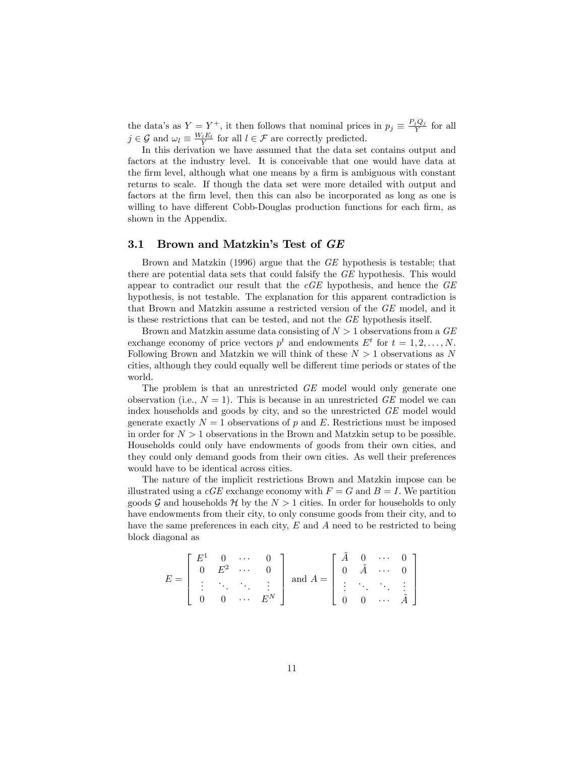the data's as  $Y = Y^+$ , it then follows that nominal prices in  $p_j \equiv \frac{P_j Q_j}{Y}$  for all  $j \in \mathcal{G}$  and  $\omega_l \equiv \frac{W_l E_l}{Y}$  for all  $l \in \mathcal{F}$  are correctly predicted.

In this derivation we have assumed that the data set contains output and factors at the industry level. It is conceivable that one would have data at the firm level, although what one means by a firm is ambiguous with constant returns to scale. If though the data set were more detailed with output and factors at the firm level, then this can also be incorporated as long as one is willing to have different Cobb-Douglas production functions for each firm, as shown in the Appendix.

#### 3.1 Brown and Matzkin's Test of GE

Brown and Matzkin (1996) argue that the GE hypothesis is testable; that there are potential data sets that could falsify the GE hypothesis. This would appear to contradict our result that the  $cGE$  hypothesis, and hence the  $GE$ hypothesis, is not testable. The explanation for this apparent contradiction is that Brown and Matzkin assume a restricted version of the GE model, and it is these restrictions that can be tested, and not the GE hypothesis itself.

Brown and Matzkin assume data consisting of  $N > 1$  observations from a  $GE$ exchange economy of price vectors  $p^t$  and endowments  $E^t$  for  $t = 1, 2, ..., N$ . Following Brown and Matzkin we will think of these  $N > 1$  observations as N cities, although they could equally well be different time periods or states of the world.

The problem is that an unrestricted GE model would only generate one observation (i.e.,  $N = 1$ ). This is because in an unrestricted GE model we can index households and goods by city, and so the unrestricted GE model would generate exactly  $N = 1$  observations of p and E. Restrictions must be imposed in order for  $N > 1$  observations in the Brown and Matzkin setup to be possible. Households could only have endowments of goods from their own cities, and they could only demand goods from their own cities. As well their preferences would have to be identical across cities.

The nature of the implicit restrictions Brown and Matzkin impose can be illustrated using a  $cGE$  exchange economy with  $F = G$  and  $B = I$ . We partition goods G and households H by the  $N > 1$  cities. In order for households to only have endowments from their city, to only consume goods from their city, and to have the same preferences in each city,  $E$  and  $A$  need to be restricted to being block diagonal as

$$
E = \begin{bmatrix} E^1 & 0 & \cdots & 0 \\ 0 & E^2 & \cdots & 0 \\ \vdots & \ddots & \ddots & \vdots \\ 0 & 0 & \cdots & E^N \end{bmatrix} \text{ and } A = \begin{bmatrix} \tilde{A} & 0 & \cdots & 0 \\ 0 & \tilde{A} & \cdots & 0 \\ \vdots & \ddots & \ddots & \vdots \\ 0 & 0 & \cdots & \tilde{A} \end{bmatrix}
$$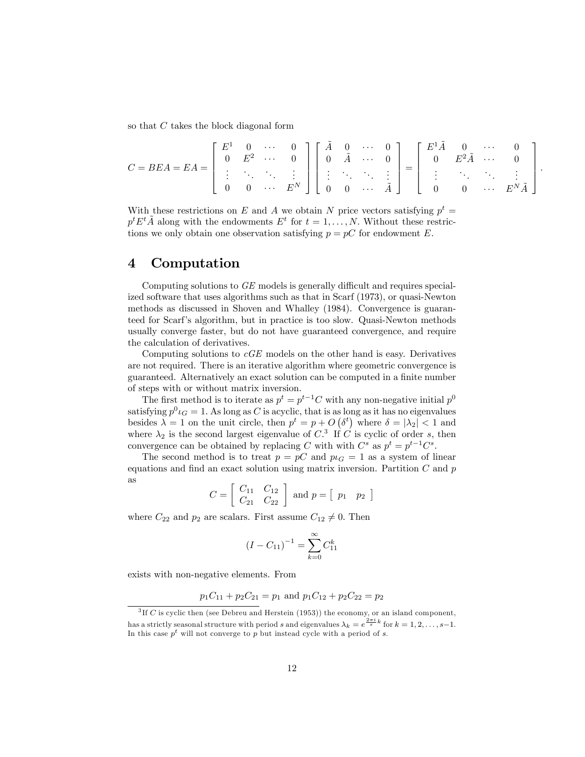so that C takes the block diagonal form

$$
C = BEA = EA = \begin{bmatrix} E^1 & 0 & \cdots & 0 \\ 0 & E^2 & \cdots & 0 \\ \vdots & \ddots & \ddots & \vdots \\ 0 & 0 & \cdots & E^N \end{bmatrix} \begin{bmatrix} \tilde{A} & 0 & \cdots & 0 \\ 0 & \tilde{A} & \cdots & 0 \\ \vdots & \ddots & \ddots & \vdots \\ 0 & 0 & \cdots & \tilde{A} \end{bmatrix} = \begin{bmatrix} E^1 \tilde{A} & 0 & \cdots & 0 \\ 0 & E^2 \tilde{A} & \cdots & 0 \\ \vdots & \ddots & \ddots & \vdots \\ 0 & 0 & \cdots & E^N \tilde{A} \end{bmatrix}.
$$

With these restrictions on E and A we obtain N price vectors satisfying  $p^t =$  $p^t E^t \tilde{A}$  along with the endowments  $E^t$  for  $t = 1, \ldots, N$ . Without these restrictions we only obtain one observation satisfying  $p = pC$  for endowment E.

### 4 Computation

Computing solutions to  $GE$  models is generally difficult and requires specialized software that uses algorithms such as that in Scarf (1973), or quasi-Newton methods as discussed in Shoven and Whalley (1984). Convergence is guaranteed for Scarfís algorithm, but in practice is too slow. Quasi-Newton methods usually converge faster, but do not have guaranteed convergence, and require the calculation of derivatives.

Computing solutions to  $cGE$  models on the other hand is easy. Derivatives are not required. There is an iterative algorithm where geometric convergence is guaranteed. Alternatively an exact solution can be computed in a finite number of steps with or without matrix inversion.

The first method is to iterate as  $p^t = p^{t-1}C$  with any non-negative initial  $p^0$ satisfying  $p^0 \iota_G = 1$ . As long as C is acyclic, that is as long as it has no eigenvalues besides  $\lambda = 1$  on the unit circle, then  $p^t = p + O(\delta^t)$  where  $\delta = |\lambda_2| < 1$  and where  $\lambda_2$  is the second largest eigenvalue of C<sup>3</sup> If C is cyclic of order s, then convergence can be obtained by replacing C with with  $C^s$  as  $p^t = p^{t-1}C^s$ .

The second method is to treat  $p = pC$  and  $p \iota_G = 1$  as a system of linear equations and find an exact solution using matrix inversion. Partition  $C$  and  $p$ as

$$
C = \left[ \begin{array}{cc} C_{11} & C_{12} \\ C_{21} & C_{22} \end{array} \right] \text{ and } p = \left[ \begin{array}{cc} p_1 & p_2 \end{array} \right]
$$

where  $C_{22}$  and  $p_2$  are scalars. First assume  $C_{12} \neq 0$ . Then

$$
(I - C_{11})^{-1} = \sum_{k=0}^{\infty} C_{11}^k
$$

exists with non-negative elements. From

$$
p_1C_{11} + p_2C_{21} = p_1
$$
 and  $p_1C_{12} + p_2C_{22} = p_2$ 

 ${}^{3}$  If C is cyclic then (see Debreu and Herstein (1953)) the economy, or an island component, has a strictly seasonal structure with period s and eigenvalues  $\lambda_k = e^{\frac{2\pi i}{s}k}$  for  $k = 1, 2, ..., s-1$ . In this case  $p<sup>t</sup>$  will not converge to p but instead cycle with a period of s.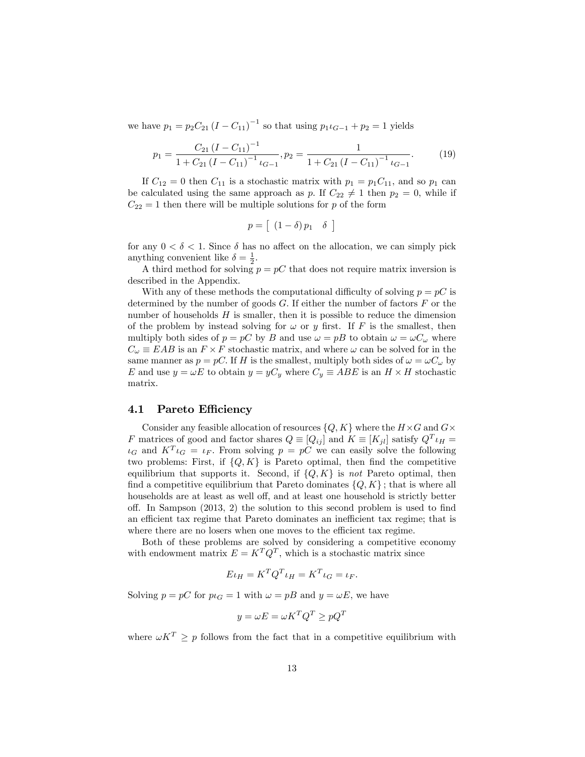we have  $p_1 = p_2 C_{21} (I - C_{11})^{-1}$  so that using  $p_1 \iota_{G-1} + p_2 = 1$  yields

$$
p_1 = \frac{C_{21} (I - C_{11})^{-1}}{1 + C_{21} (I - C_{11})^{-1} \iota_{G-1}}, p_2 = \frac{1}{1 + C_{21} (I - C_{11})^{-1} \iota_{G-1}}.
$$
 (19)

If  $C_{12} = 0$  then  $C_{11}$  is a stochastic matrix with  $p_1 = p_1 C_{11}$ , and so  $p_1$  can be calculated using the same approach as p. If  $C_{22} \neq 1$  then  $p_2 = 0$ , while if  $C_{22} = 1$  then there will be multiple solutions for p of the form

$$
p = \left[ \begin{array}{cc} (1 - \delta) \, p_1 & \delta \end{array} \right]
$$

for any  $0 < \delta < 1$ . Since  $\delta$  has no affect on the allocation, we can simply pick anything convenient like  $\delta = \frac{1}{2}$ .

A third method for solving  $p = pC$  that does not require matrix inversion is described in the Appendix.

With any of these methods the computational difficulty of solving  $p = pC$  is determined by the number of goods  $G$ . If either the number of factors  $F$  or the number of households  $H$  is smaller, then it is possible to reduce the dimension of the problem by instead solving for  $\omega$  or y first. If F is the smallest, then multiply both sides of  $p = pC$  by B and use  $\omega = pB$  to obtain  $\omega = \omega C_{\omega}$  where  $C_{\omega} \equiv EAB$  is an  $F \times F$  stochastic matrix, and where  $\omega$  can be solved for in the same manner as  $p = pC$ . If H is the smallest, multiply both sides of  $\omega = \omega C_{\omega}$  by E and use  $y = \omega E$  to obtain  $y = yC_y$  where  $C_y \equiv ABE$  is an  $H \times H$  stochastic matrix.

#### 4.1 Pareto Efficiency

Consider any feasible allocation of resources  $\{Q, K\}$  where the  $H \times G$  and  $G \times G$ F matrices of good and factor shares  $Q \equiv [Q_{ij}]$  and  $K \equiv [K_{jl}]$  satisfy  $Q^T \iota_H =$  $\iota_G$  and  $K^T \iota_G = \iota_F$ . From solving  $p = pC$  we can easily solve the following two problems: First, if  $\{Q, K\}$  is Pareto optimal, then find the competitive equilibrium that supports it. Second, if  $\{Q, K\}$  is not Pareto optimal, then find a competitive equilibrium that Pareto dominates  $\{Q, K\}$ ; that is where all households are at least as well off, and at least one household is strictly better off. In Sampson  $(2013, 2)$  the solution to this second problem is used to find an efficient tax regime that Pareto dominates an inefficient tax regime; that is where there are no losers when one moves to the efficient tax regime.

Both of these problems are solved by considering a competitive economy with endowment matrix  $E = K^T Q^T$ , which is a stochastic matrix since

$$
E\iota_H = K^T Q^T \iota_H = K^T \iota_G = \iota_F.
$$

Solving  $p = pC$  for  $p \iota_G = 1$  with  $\omega = pB$  and  $y = \omega E$ , we have

$$
y = \omega E = \omega K^T Q^T \ge pQ^T
$$

where  $\omega K^T > p$  follows from the fact that in a competitive equilibrium with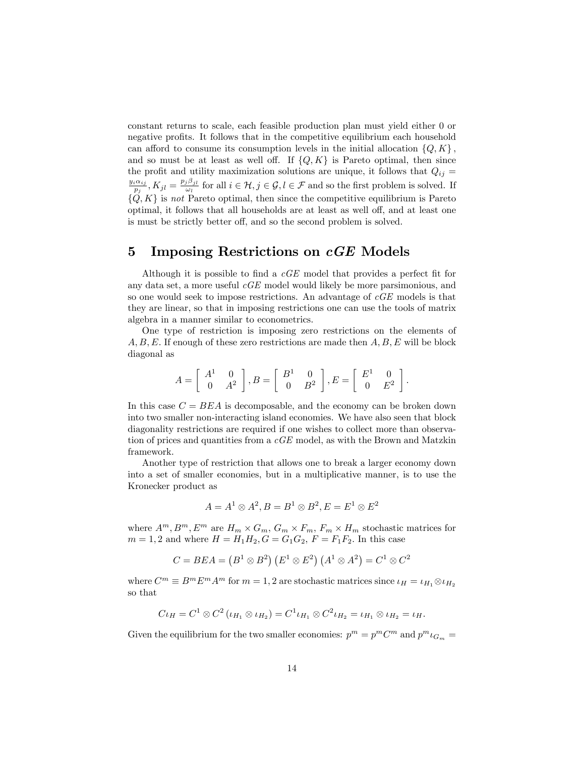constant returns to scale, each feasible production plan must yield either 0 or negative profits. It follows that in the competitive equilibrium each household can afford to consume its consumption levels in the initial allocation  $\{Q, K\}$ , and so must be at least as well off. If  $\{Q, K\}$  is Pareto optimal, then since the profit and utility maximization solutions are unique, it follows that  $Q_{ij} =$  $y_i\alpha_{ij}$  $\frac{\partial p_{ij}}{p_j}, K_{jl} = \frac{p_j\beta_{jl}}{\omega_l}$  $\frac{\partial^{\alpha} j}{\partial u_{l}}$  for all  $i \in \mathcal{H}, j \in \mathcal{G}, l \in \mathcal{F}$  and so the first problem is solved. If  $\{Q, K\}$  is not Pareto optimal, then since the competitive equilibrium is Pareto optimal, it follows that all households are at least as well off, and at least one is must be strictly better off, and so the second problem is solved.

# 5 Imposing Restrictions on cGE Models

Although it is possible to find a  $cGE$  model that provides a perfect fit for any data set, a more useful cGE model would likely be more parsimonious, and so one would seek to impose restrictions. An advantage of cGE models is that they are linear, so that in imposing restrictions one can use the tools of matrix algebra in a manner similar to econometrics.

One type of restriction is imposing zero restrictions on the elements of  $A, B, E$ . If enough of these zero restrictions are made then  $A, B, E$  will be block diagonal as

$$
A = \left[ \begin{array}{cc} A^1 & 0 \\ 0 & A^2 \end{array} \right], B = \left[ \begin{array}{cc} B^1 & 0 \\ 0 & B^2 \end{array} \right], E = \left[ \begin{array}{cc} E^1 & 0 \\ 0 & E^2 \end{array} \right].
$$

In this case  $C = BEA$  is decomposable, and the economy can be broken down into two smaller non-interacting island economies. We have also seen that block diagonality restrictions are required if one wishes to collect more than observation of prices and quantities from a cGE model, as with the Brown and Matzkin framework.

Another type of restriction that allows one to break a larger economy down into a set of smaller economies, but in a multiplicative manner, is to use the Kronecker product as

$$
A = A1 \otimes A2, B = B1 \otimes B2, E = E1 \otimes E2
$$

where  $A^m, B^m, E^m$  are  $H_m \times G_m, G_m \times F_m, F_m \times H_m$  stochastic matrices for  $m = 1, 2$  and where  $H = H_1 H_2, G = G_1 G_2, F = F_1 F_2$ . In this case

$$
C = BEA = (B1 \otimes B2) (E1 \otimes E2) (A1 \otimes A2) = C1 \otimes C2
$$

where  $C^m \equiv B^m E^m A^m$  for  $m = 1, 2$  are stochastic matrices since  $\iota_H = \iota_{H_1} \otimes \iota_{H_2}$ so that

$$
C\iota_H = C^1 \otimes C^2 (\iota_{H_1} \otimes \iota_{H_2}) = C^1 \iota_{H_1} \otimes C^2 \iota_{H_2} = \iota_{H_1} \otimes \iota_{H_2} = \iota_H.
$$

Given the equilibrium for the two smaller economies:  $p^m = p^m C^m$  and  $p^m \iota_{G_m} =$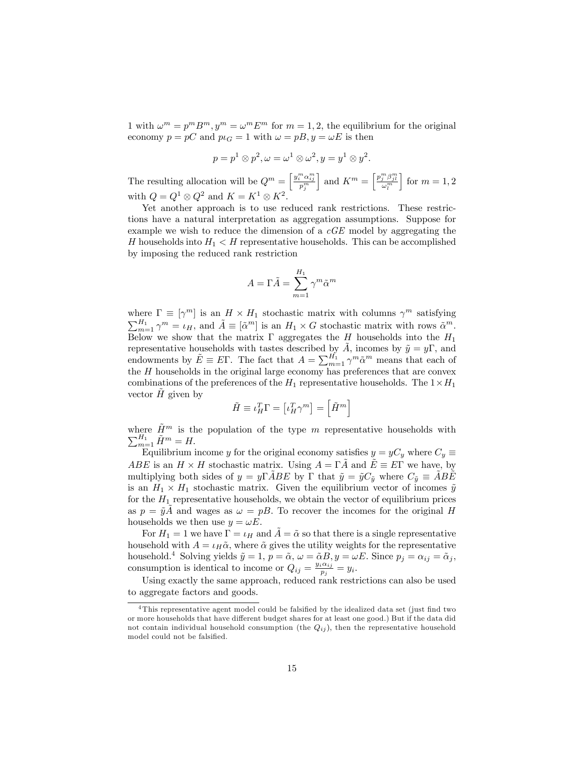1 with  $\omega^m = p^m B^m$ ,  $y^m = \omega^m E^m$  for  $m = 1, 2$ , the equilibrium for the original economy  $p = pC$  and  $p \iota_G = 1$  with  $\omega = pB, y = \omega E$  is then

$$
p = p1 \otimes p2, \omega = \omega1 \otimes \omega2, y = y1 \otimes y2.
$$

The resulting allocation will be  $Q^m = \left[\frac{y_i^m \alpha_{ij}^m}{p_j^m}\right]$ ] and  $K^m = \left[\frac{p_j^m \beta_{jl}^m}{\omega_l^m}\right]$  $\Big\}$  for  $m = 1, 2$ with  $Q = Q^1 \otimes Q^2$  and  $K = K^1 \otimes K^2$ .

Yet another approach is to use reduced rank restrictions. These restrictions have a natural interpretation as aggregation assumptions. Suppose for example we wish to reduce the dimension of a cGE model by aggregating the H households into  $H_1 < H$  representative households. This can be accomplished by imposing the reduced rank restriction

$$
A=\Gamma \tilde{A}=\sum_{m=1}^{H_1}\gamma^m\tilde{\alpha}^m
$$

where  $\Gamma \equiv [\gamma^m]$  is an  $H \times H_1$  stochastic matrix with columns  $\gamma^m$  satisfying  $\sum_{m=1}^{H_1} \gamma^m = \iota_H$ , and  $\tilde{A} \equiv [\tilde{\alpha}^m]$  is an  $H_1 \times G$  stochastic matrix with rows  $\tilde{\alpha}^m$ . Below we show that the matrix  $\Gamma$  aggregates the H households into the  $H_1$ representative households with tastes described by  $\tilde{A}$ , incomes by  $\tilde{y} = y\Gamma$ , and endowments by  $\tilde{E} \equiv E\Gamma$ . The fact that  $A = \sum_{m=1}^{H_1} \gamma^m \tilde{\alpha}^m$  means that each of the  $H$  households in the original large economy has preferences that are convex combinations of the preferences of the  $H_1$  representative households. The  $1 \times H_1$ vector  $\hat{H}$  given by

$$
\tilde{H} \equiv \iota_H^T \Gamma = \left[ \iota_H^T \gamma^m \right] = \left[ \tilde{H}^m \right]
$$

where  $\tilde{H}^m$  is the population of the type m representative households with  $\sum_{m=1}^{H_1} \tilde{H}^m = H.$ 

Equilibrium income y for the original economy satisfies  $y = yC_y$  where  $C_y \equiv$ ABE is an  $H \times H$  stochastic matrix. Using  $A = \Gamma \tilde{A}$  and  $\tilde{E} \equiv E\Gamma$  we have, by multiplying both sides of  $y = y\Gamma ABE$  by  $\Gamma$  that  $\tilde{y} = \tilde{y}C_{\tilde{y}}$  where  $C_{\tilde{y}} \equiv ABE$ is an  $H_1 \times H_1$  stochastic matrix. Given the equilibrium vector of incomes  $\tilde{y}$ for the  $H_1$  representative households, we obtain the vector of equilibrium prices as  $p = \tilde{y}A$  and wages as  $\omega = pB$ . To recover the incomes for the original H households we then use  $y = \omega E$ .

For  $H_1 = 1$  we have  $\Gamma = \iota_H$  and  $A = \tilde{\alpha}$  so that there is a single representative household with  $A = \iota_H \tilde{\alpha}$ , where  $\tilde{\alpha}$  gives the utility weights for the representative household.<sup>4</sup> Solving yields  $\tilde{y} = 1$ ,  $p = \tilde{\alpha}$ ,  $\omega = \tilde{\alpha}B$ ,  $y = \omega E$ . Since  $p_j = \alpha_{ij} = \tilde{\alpha}_j$ , consumption is identical to income or  $Q_{ij} = \frac{y_i \alpha_{ij}}{p_i}$  $\frac{i\alpha_{ij}}{p_j}=y_i.$ 

Using exactly the same approach, reduced rank restrictions can also be used to aggregate factors and goods.

 $4$ This representative agent model could be falsified by the idealized data set (just find two or more households that have different budget shares for at least one good.) But if the data did not contain individual household consumption (the  $Q_{ij}$ ), then the representative household model could not be falsified.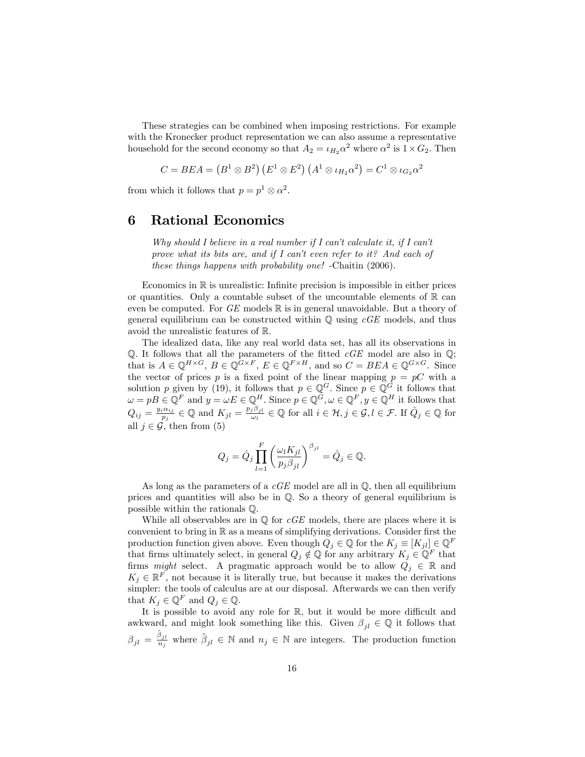These strategies can be combined when imposing restrictions. For example with the Kronecker product representation we can also assume a representative household for the second economy so that  $A_2 = \iota_{H_2} \alpha^2$  where  $\alpha^2$  is  $1 \times G_2$ . Then

$$
C = BEA = (B1 \otimes B2) (E1 \otimes E2) (A1 \otimes \iota_{H_2} \alpha2) = C1 \otimes \iota_{G_2} \alpha2
$$

from which it follows that  $p = p^1 \otimes \alpha^2$ .

## 6 Rational Economics

Why should I believe in a real number if I can't calculate it, if I can't prove what its bits are, and if I can't even refer to it? And each of these things happens with probability one! -Chaitin (2006).

Economics in  $\mathbb R$  is unrealistic: Infinite precision is impossible in either prices or quantities. Only a countable subset of the uncountable elements of  $\mathbb R$  can even be computed. For  $GE$  models  $\mathbb R$  is in general unavoidable. But a theory of general equilibrium can be constructed within  $\mathbb Q$  using  $cGE$  models, and thus avoid the unrealistic features of R.

The idealized data, like any real world data set, has all its observations in  $\mathbb Q$ . It follows that all the parameters of the fitted cGE model are also in  $\mathbb Q$ ; that is  $A \in \mathbb{Q}^{H \times G}$ ,  $B \in \mathbb{Q}^{G \times F}$ ,  $E \in \mathbb{Q}^{F \times H}$ , and so  $C = BEA \in \mathbb{Q}^{G \times G}$ . Since the vector of prices p is a fixed point of the linear mapping  $p = pC$  with a solution p given by (19), it follows that  $p \in \mathbb{Q}^G$ . Since  $p \in \mathbb{Q}^G$  it follows that  $\omega = pB \in \mathbb{Q}^F$  and  $y = \omega E \in \mathbb{Q}^H$ . Since  $p \in \mathbb{Q}^G, \omega \in \mathbb{Q}^F, y \in \mathbb{Q}^H$  it follows that  $Q_{ij} = \frac{y_i \alpha_{ij}}{n_i}$  $\frac{\partial p_i}{\partial p_j} \in \mathbb{Q}$  and  $K_{jl} = \frac{p_j \beta_{jl}}{\omega_l}$  $\frac{i\beta_{jl}}{\omega_l} \in \mathbb{Q}$  for all  $i \in \mathcal{H}, j \in \mathcal{G}, l \in \mathcal{F}$ . If  $\hat{Q}_j \in \mathbb{Q}$  for all  $j \in \mathcal{G}$ , then from (5)

$$
Q_j = \hat{Q}_j \prod_{l=1}^F \left(\frac{\omega_l K_{jl}}{p_j \beta_{jl}}\right)^{\beta_{jl}} = \hat{Q}_j \in \mathbb{Q}.
$$

As long as the parameters of a  $cGE$  model are all in  $\mathbb{Q}$ , then all equilibrium prices and quantities will also be in  $\mathbb{Q}$ . So a theory of general equilibrium is possible within the rationals Q:

While all observables are in  $\mathbb Q$  for  $cGE$  models, there are places where it is convenient to bring in  $\mathbb R$  as a means of simplifying derivations. Consider first the production function given above. Even though  $Q_j \in \mathbb{Q}$  for the  $K_j \equiv [K_{jl}] \in \mathbb{Q}^F$ that firms ultimately select, in general  $Q_j \notin \mathbb{Q}$  for any arbitrary  $K_j \in \mathbb{Q}^F$  that firms might select. A pragmatic approach would be to allow  $Q_j \in \mathbb{R}$  and  $K_j \in \mathbb{R}^F$ , not because it is literally true, but because it makes the derivations simpler: the tools of calculus are at our disposal. Afterwards we can then verify that  $K_j \in \mathbb{Q}^F$  and  $Q_j \in \mathbb{Q}$ .

It is possible to avoid any role for  $\mathbb{R}$ , but it would be more difficult and awkward, and might look something like this. Given  $\beta_{il} \in \mathbb{Q}$  it follows that  $\beta_{jl} = \frac{\tilde{\beta}_{jl}}{n_j}$  where  $\tilde{\beta}_{jl} \in \mathbb{N}$  and  $n_j \in \mathbb{N}$  are integers. The production function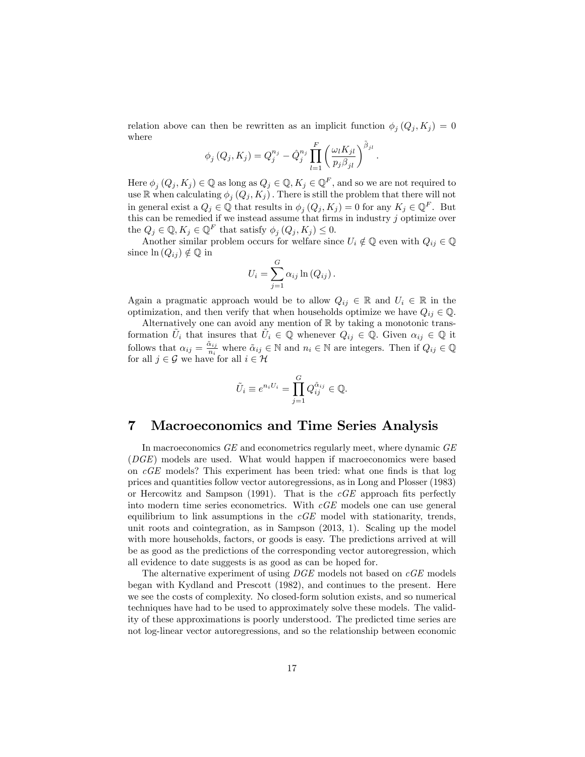relation above can then be rewritten as an implicit function  $\phi_j(Q_j, K_j) = 0$ where

$$
\phi_j(Q_j, K_j) = Q_j^{n_j} - \hat{Q}_j^{n_j} \prod_{l=1}^F \left(\frac{\omega_l K_{jl}}{p_j \beta_{jl}}\right)^{\tilde{\beta}_{jl}}
$$

:

Here  $\phi_j(Q_j, K_j) \in \mathbb{Q}$  as long as  $Q_j \in \mathbb{Q}, K_j \in \mathbb{Q}^F$ , and so we are not required to use  $\mathbb R$  when calculating  $\phi_j(Q_j, K_j)$ . There is still the problem that there will not in general exist a  $Q_j \in \mathbb{Q}$  that results in  $\phi_j(Q_j, K_j) = 0$  for any  $K_j \in \mathbb{Q}^F$ . But this can be remedied if we instead assume that firms in industry  $j$  optimize over the  $Q_j \in \mathbb{Q}, K_j \in \mathbb{Q}^F$  that satisfy  $\phi_j(Q_j, K_j) \leq 0$ .

Another similar problem occurs for welfare since  $U_i \notin \mathbb{Q}$  even with  $Q_{ij} \in \mathbb{Q}$ since  $\ln (Q_{ij}) \notin \mathbb{Q}$  in

$$
U_i = \sum_{j=1}^{G} \alpha_{ij} \ln (Q_{ij}).
$$

Again a pragmatic approach would be to allow  $Q_{ij} \in \mathbb{R}$  and  $U_i \in \mathbb{R}$  in the optimization, and then verify that when households optimize we have  $Q_{ij} \in \mathbb{Q}$ .

Alternatively one can avoid any mention of  $\mathbb R$  by taking a monotonic transformation  $\tilde{U}_i$  that insures that  $\tilde{U}_i \in \mathbb{Q}$  whenever  $Q_{ij} \in \mathbb{Q}$ . Given  $\alpha_{ij} \in \mathbb{Q}$  it follows that  $\alpha_{ij} = \frac{\tilde{\alpha}_{ij}}{n_i}$  $\frac{x_{ij}}{n_i}$  where  $\tilde{\alpha}_{ij} \in \mathbb{N}$  and  $n_i \in \mathbb{N}$  are integers. Then if  $Q_{ij} \in \mathbb{Q}$ for all  $j \in \mathcal{G}$  we have for all  $i \in \mathcal{H}$ 

$$
\tilde{U}_i \equiv e^{n_i U_i} = \prod_{j=1}^G Q_{ij}^{\tilde{\alpha}_{ij}} \in \mathbb{Q}.
$$

# 7 Macroeconomics and Time Series Analysis

In macroeconomics GE and econometrics regularly meet, where dynamic GE (DGE) models are used. What would happen if macroeconomics were based on  $cGE$  models? This experiment has been tried: what one finds is that log prices and quantities follow vector autoregressions, as in Long and Plosser (1983) or Hercowitz and Sampson (1991). That is the  $cGE$  approach fits perfectly into modern time series econometrics. With cGE models one can use general equilibrium to link assumptions in the  $cGE$  model with stationarity, trends, unit roots and cointegration, as in Sampson (2013, 1). Scaling up the model with more households, factors, or goods is easy. The predictions arrived at will be as good as the predictions of the corresponding vector autoregression, which all evidence to date suggests is as good as can be hoped for.

The alternative experiment of using  $DGE$  models not based on  $cGE$  models began with Kydland and Prescott (1982), and continues to the present. Here we see the costs of complexity. No closed-form solution exists, and so numerical techniques have had to be used to approximately solve these models. The validity of these approximations is poorly understood. The predicted time series are not log-linear vector autoregressions, and so the relationship between economic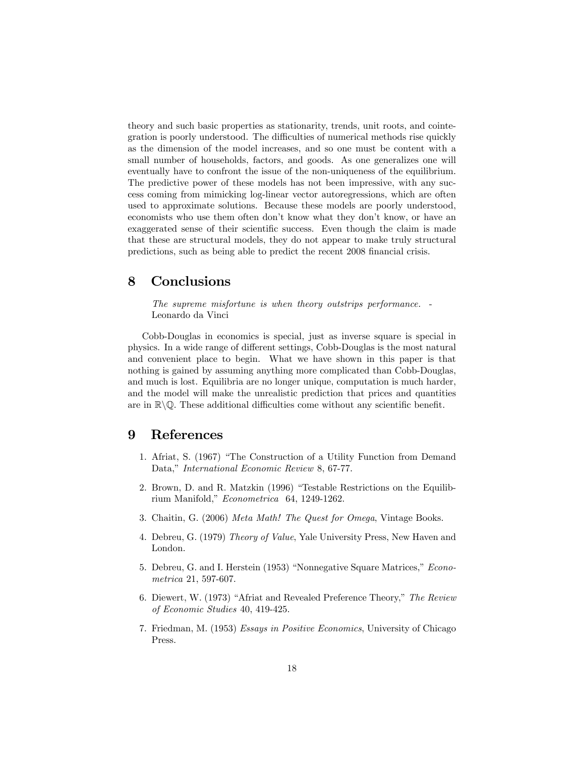theory and such basic properties as stationarity, trends, unit roots, and cointegration is poorly understood. The difficulties of numerical methods rise quickly as the dimension of the model increases, and so one must be content with a small number of households, factors, and goods. As one generalizes one will eventually have to confront the issue of the non-uniqueness of the equilibrium. The predictive power of these models has not been impressive, with any success coming from mimicking log-linear vector autoregressions, which are often used to approximate solutions. Because these models are poorly understood, economists who use them often don't know what they don't know, or have an exaggerated sense of their scientific success. Even though the claim is made that these are structural models, they do not appear to make truly structural predictions, such as being able to predict the recent 2008 financial crisis.

# 8 Conclusions

The supreme misfortune is when theory outstrips performance. - Leonardo da Vinci

Cobb-Douglas in economics is special, just as inverse square is special in physics. In a wide range of different settings, Cobb-Douglas is the most natural and convenient place to begin. What we have shown in this paper is that nothing is gained by assuming anything more complicated than Cobb-Douglas, and much is lost. Equilibria are no longer unique, computation is much harder, and the model will make the unrealistic prediction that prices and quantities are in  $\mathbb{R}\backslash\mathbb{Q}$ . These additional difficulties come without any scientific benefit.

# 9 References

- 1. Afriat, S. (1967) "The Construction of a Utility Function from Demand Data," International Economic Review 8, 67-77.
- 2. Brown, D. and R. Matzkin  $(1996)$  "Testable Restrictions on the Equilibrium Manifold," Econometrica 64, 1249-1262.
- 3. Chaitin, G. (2006) Meta Math! The Quest for Omega, Vintage Books.
- 4. Debreu, G. (1979) Theory of Value, Yale University Press, New Haven and London.
- 5. Debreu, G. and I. Herstein (1953) "Nonnegative Square Matrices," Econometrica 21, 597-607.
- 6. Diewert, W. (1973) "Afriat and Revealed Preference Theory," The Review of Economic Studies 40, 419-425.
- 7. Friedman, M. (1953) Essays in Positive Economics, University of Chicago Press.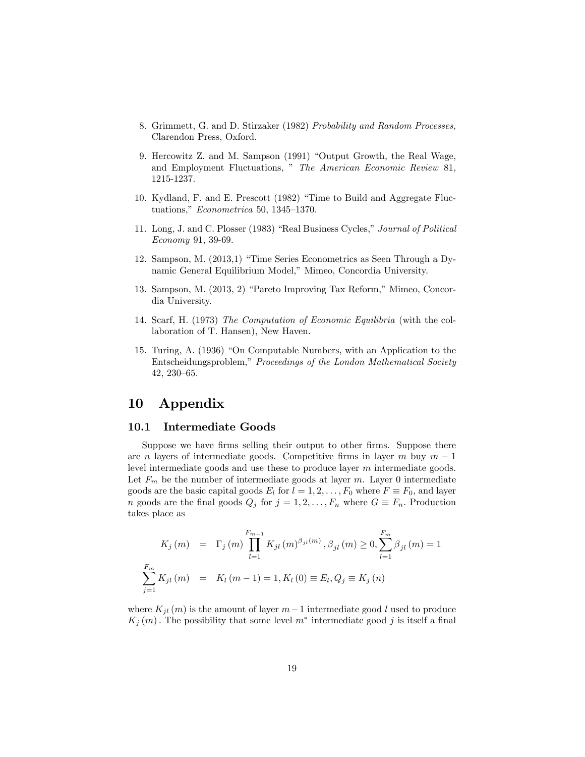- 8. Grimmett, G. and D. Stirzaker (1982) Probability and Random Processes, Clarendon Press, Oxford.
- 9. Hercowitz Z. and M. Sampson (1991) "Output Growth, the Real Wage, and Employment Fluctuations, " The American Economic Review 81, 1215-1237.
- 10. Kydland, F. and E. Prescott (1982) "Time to Build and Aggregate Fluctuations,"  $Econometrica$  50, 1345–1370.
- 11. Long, J. and C. Plosser (1983) "Real Business Cycles," Journal of Political Economy 91, 39-69.
- 12. Sampson, M.  $(2013,1)$  "Time Series Econometrics as Seen Through a Dynamic General Equilibrium Model," Mimeo, Concordia University.
- 13. Sampson, M. (2013, 2) "Pareto Improving Tax Reform," Mimeo, Concordia University.
- 14. Scarf, H. (1973) The Computation of Economic Equilibria (with the collaboration of T. Hansen), New Haven.
- 15. Turing, A. (1936) "On Computable Numbers, with an Application to the Entscheidungsproblem," Proceedings of the London Mathematical Society 42, 230-65.

### 10 Appendix

#### 10.1 Intermediate Goods

Suppose we have firms selling their output to other firms. Suppose there are *n* layers of intermediate goods. Competitive firms in layer *m* buy  $m - 1$ level intermediate goods and use these to produce layer m intermediate goods. Let  $F_m$  be the number of intermediate goods at layer m. Layer 0 intermediate goods are the basic capital goods  $E_l$  for  $l = 1, 2, \ldots, F_0$  where  $F \equiv F_0$ , and layer *n* goods are the final goods  $Q_j$  for  $j = 1, 2, ..., F_n$  where  $G \equiv F_n$ . Production takes place as

$$
K_{j}(m) = \Gamma_{j}(m) \prod_{l=1}^{F_{m-1}} K_{jl}(m)^{\beta_{jl}(m)}, \beta_{jl}(m) \ge 0, \sum_{l=1}^{F_{m}} \beta_{jl}(m) = 1
$$
  

$$
\sum_{j=1}^{F_{m}} K_{jl}(m) = K_{l}(m-1) = 1, K_{l}(0) \equiv E_{l}, Q_{j} \equiv K_{j}(n)
$$

where  $K_{jl}(m)$  is the amount of layer  $m-1$  intermediate good l used to produce  $K_j(m)$ . The possibility that some level  $m^*$  intermediate good j is itself a final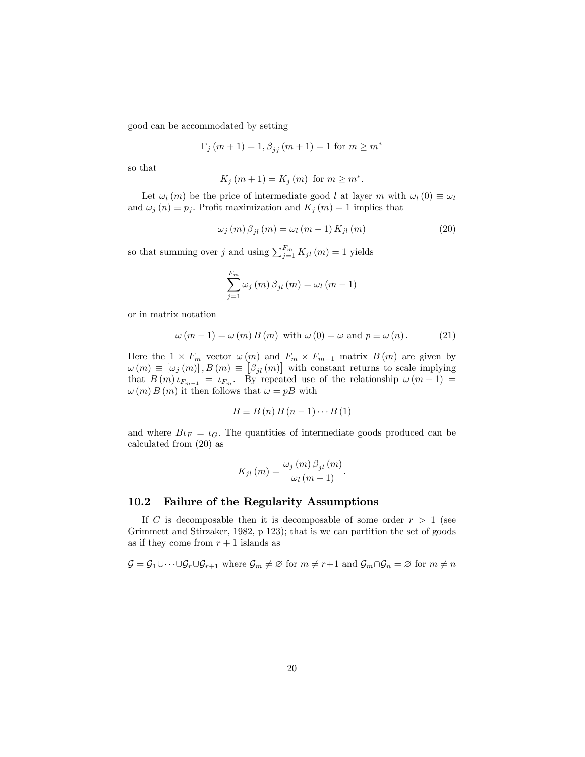good can be accommodated by setting

$$
\Gamma_j (m+1) = 1, \beta_{jj} (m+1) = 1
$$
 for  $m \ge m^*$ 

so that

$$
K_j(m+1) = K_j(m) \text{ for } m \ge m^*.
$$

Let  $\omega_l(m)$  be the price of intermediate good l at layer m with  $\omega_l(0) \equiv \omega_l$ and  $\omega_j(n) \equiv p_j$ . Profit maximization and  $K_j(m) = 1$  implies that

$$
\omega_j(m)\beta_{jl}(m) = \omega_l(m-1)K_{jl}(m) \tag{20}
$$

so that summing over j and using  $\sum_{j=1}^{F_m} K_{jl} (m) = 1$  yields

$$
\sum_{j=1}^{F_m} \omega_j(m) \beta_{jl}(m) = \omega_l(m-1)
$$

or in matrix notation

$$
\omega(m-1) = \omega(m) B(m) \text{ with } \omega(0) = \omega \text{ and } p \equiv \omega(n). \tag{21}
$$

Here the  $1 \times F_m$  vector  $\omega(m)$  and  $F_m \times F_{m-1}$  matrix  $B(m)$  are given by  $\omega(m) \equiv [\omega_j(m)]$ ,  $B(m) \equiv [\beta_{jl}(m)]$  with constant returns to scale implying that  $B(m) \iota_{F_{m-1}} = \iota_{F_m}$ . By repeated use of the relationship  $\omega(m-1) =$  $\omega(m) B(m)$  it then follows that  $\omega = pB$  with

$$
B \equiv B(n) B(n-1) \cdots B(1)
$$

and where  $B\iota_F = \iota_G$ . The quantities of intermediate goods produced can be calculated from (20) as

$$
K_{jl}(m) = \frac{\omega_j(m)\beta_{jl}(m)}{\omega_l(m-1)}.
$$

#### 10.2 Failure of the Regularity Assumptions

If C is decomposable then it is decomposable of some order  $r > 1$  (see Grimmett and Stirzaker, 1982, p 123); that is we can partition the set of goods as if they come from  $r + 1$  islands as

$$
\mathcal{G} = \mathcal{G}_1 \cup \cdots \cup \mathcal{G}_r \cup \mathcal{G}_{r+1} \text{ where } \mathcal{G}_m \neq \emptyset \text{ for } m \neq r+1 \text{ and } \mathcal{G}_m \cap \mathcal{G}_n = \emptyset \text{ for } m \neq n
$$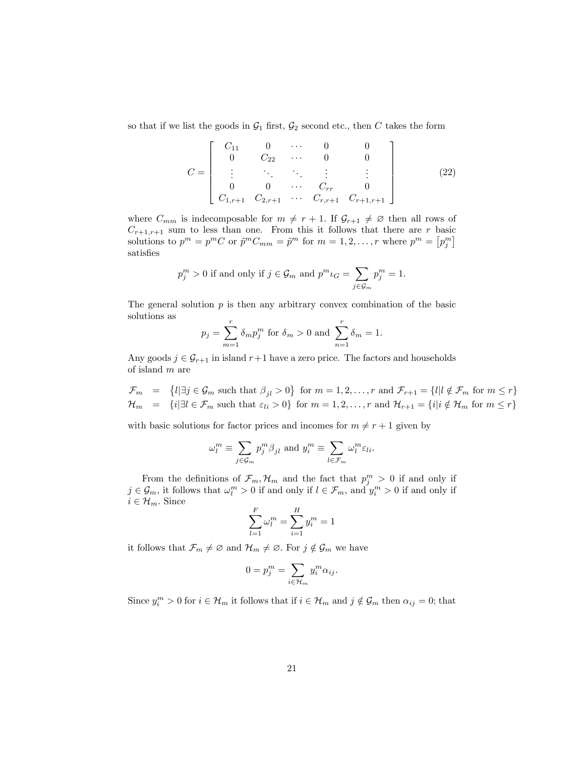so that if we list the goods in  $\mathcal{G}_1$  first,  $\mathcal{G}_2$  second etc., then C takes the form

$$
C = \begin{bmatrix} C_{11} & 0 & \cdots & 0 & 0 \\ 0 & C_{22} & \cdots & 0 & 0 \\ \vdots & \ddots & \ddots & \vdots & \vdots \\ 0 & 0 & \cdots & C_{rr} & 0 \\ C_{1,r+1} & C_{2,r+1} & \cdots & C_{r,r+1} & C_{r+1,r+1} \end{bmatrix}
$$
(22)

where  $C_{mm}$  is indecomposable for  $m \neq r + 1$ . If  $\mathcal{G}_{r+1} \neq \emptyset$  then all rows of  $C_{r+1,r+1}$  sum to less than one. From this it follows that there are r basic solutions to  $p^m = p^m C$  or  $\tilde{p}^m C_{mm} = \tilde{p}^m$  for  $m = 1, 2, ..., r$  where  $p^m = [p_j^m]$ satisfies

$$
p_j^m > 0
$$
 if and only if  $j \in \mathcal{G}_m$  and  $p^m \iota_G = \sum_{j \in \mathcal{G}_m} p_j^m = 1$ .

The general solution  $p$  is then any arbitrary convex combination of the basic solutions as

$$
p_j = \sum_{m=1}^r \delta_m p_j^m
$$
 for  $\delta_m > 0$  and  $\sum_{n=1}^r \delta_m = 1$ .

Any goods  $j \in \mathcal{G}_{r+1}$  in island  $r+1$  have a zero price. The factors and households of island m are

 $\mathcal{F}_m = \{l | \exists j \in \mathcal{G}_m \text{ such that } \beta_{jl} > 0\} \text{ for } m = 1, 2, \ldots, r \text{ and } \mathcal{F}_{r+1} = \{l | l \notin \mathcal{F}_m \text{ for } m \leq r\}$  $\mathcal{H}_m = \{i | \exists l \in \mathcal{F}_m \text{ such that } \varepsilon_{li} > 0\} \text{ for } m = 1, 2, \dots, r \text{ and } \mathcal{H}_{r+1} = \{i | i \notin \mathcal{H}_m \text{ for } m \leq r\}$ 

with basic solutions for factor prices and incomes for  $m \neq r + 1$  given by

$$
\omega_l^m \equiv \sum_{j \in \mathcal{G}_m} p_j^m \beta_{jl} \text{ and } y_i^m \equiv \sum_{l \in \mathcal{F}_m} \omega_l^m \varepsilon_{li}.
$$

From the definitions of  $\mathcal{F}_m$ ,  $\mathcal{H}_m$  and the fact that  $p_j^m > 0$  if and only if  $j \in \mathcal{G}_m$ , it follows that  $\omega_l^m > 0$  if and only if  $l \in \mathcal{F}_m$ , and  $y_i^m > 0$  if and only if  $i \in \mathcal{H}_m$ . Since

$$
\sum_{l=1}^{F} \omega_l^m = \sum_{i=1}^{H} y_i^m = 1
$$

it follows that  $\mathcal{F}_m \neq \emptyset$  and  $\mathcal{H}_m \neq \emptyset$ . For  $j \notin \mathcal{G}_m$  we have

$$
0 = p_j^m = \sum_{i \in \mathcal{H}_m} y_i^m \alpha_{ij}.
$$

Since  $y_i^m > 0$  for  $i \in \mathcal{H}_m$  it follows that if  $i \in \mathcal{H}_m$  and  $j \notin \mathcal{G}_m$  then  $\alpha_{ij} = 0$ ; that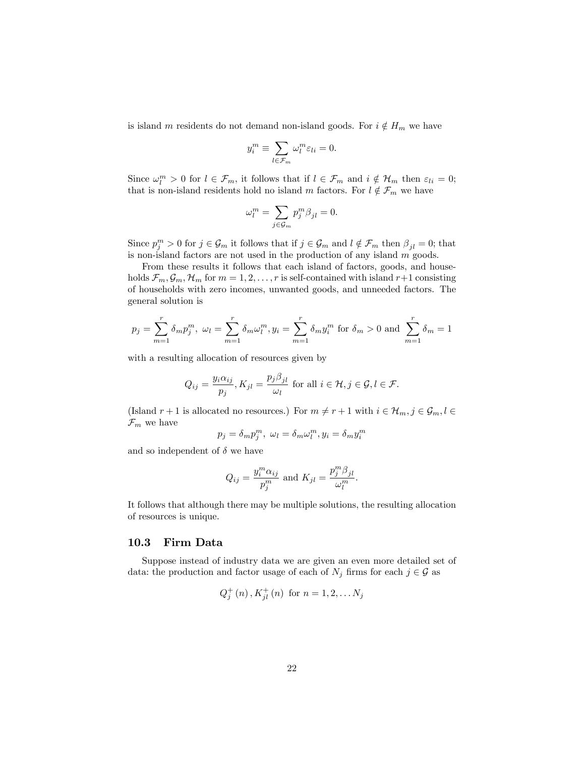is island m residents do not demand non-island goods. For  $i \notin H_m$  we have

$$
y_i^m \equiv \sum_{l \in \mathcal{F}_m} \omega_l^m \varepsilon_{li} = 0.
$$

Since  $\omega_l^m > 0$  for  $l \in \mathcal{F}_m$ , it follows that if  $l \in \mathcal{F}_m$  and  $i \notin \mathcal{H}_m$  then  $\varepsilon_{li} = 0$ ; that is non-island residents hold no island m factors. For  $l \notin \mathcal{F}_m$  we have

$$
\omega_l^m=\sum_{j\in\mathcal{G}_m}p_j^m\beta_{jl}=0.
$$

Since  $p_j^m > 0$  for  $j \in \mathcal{G}_m$  it follows that if  $j \in \mathcal{G}_m$  and  $l \notin \mathcal{F}_m$  then  $\beta_{jl} = 0$ ; that is non-island factors are not used in the production of any island m goods.

From these results it follows that each island of factors, goods, and households  $\mathcal{F}_m, \mathcal{G}_m, \mathcal{H}_m$  for  $m = 1, 2, \ldots, r$  is self-contained with island  $r+1$  consisting of households with zero incomes, unwanted goods, and unneeded factors. The general solution is

$$
p_j = \sum_{m=1}^r \delta_m p_j^m
$$
,  $\omega_l = \sum_{m=1}^r \delta_m \omega_l^m$ ,  $y_i = \sum_{m=1}^r \delta_m y_i^m$  for  $\delta_m > 0$  and  $\sum_{m=1}^r \delta_m = 1$ 

with a resulting allocation of resources given by

$$
Q_{ij} = \frac{y_i \alpha_{ij}}{p_j}, K_{jl} = \frac{p_j \beta_{jl}}{\omega_l} \text{ for all } i \in \mathcal{H}, j \in \mathcal{G}, l \in \mathcal{F}.
$$

(Island  $r + 1$  is allocated no resources.) For  $m \neq r + 1$  with  $i \in \mathcal{H}_m$ ,  $j \in \mathcal{G}_m$ ,  $l \in$  $\mathcal{F}_m$  we have

$$
p_j = \delta_m p_j^m, \ \omega_l = \delta_m \omega_l^m, y_i = \delta_m y_i^m
$$

and so independent of  $\delta$  we have

$$
Q_{ij} = \frac{y_i^m \alpha_{ij}}{p_j^m}
$$
 and 
$$
K_{jl} = \frac{p_j^m \beta_{jl}}{\omega_l^m}.
$$

It follows that although there may be multiple solutions, the resulting allocation of resources is unique.

#### 10.3 Firm Data

Suppose instead of industry data we are given an even more detailed set of data: the production and factor usage of each of  $N_j$  firms for each  $j \in \mathcal{G}$  as

$$
Q_j^+(n), K_{jl}^+(n)
$$
 for  $n = 1, 2, \ldots N_j$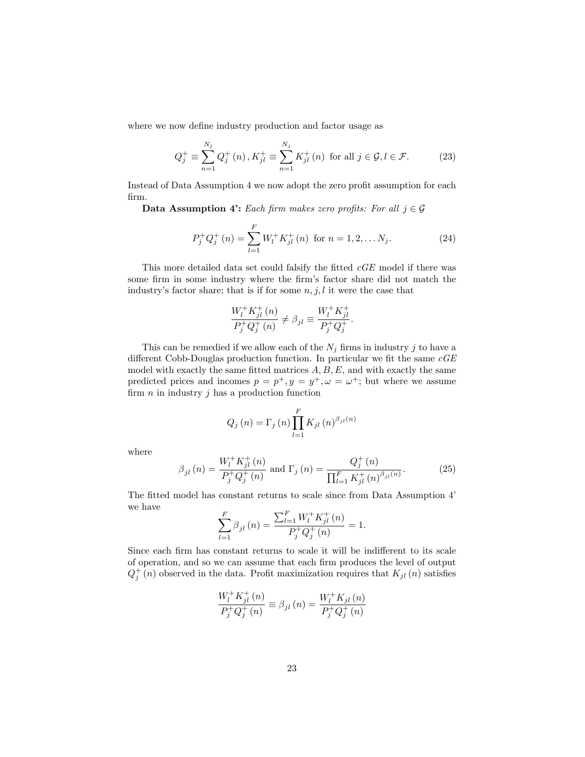where we now define industry production and factor usage as

$$
Q_j^+ \equiv \sum_{n=1}^{N_j} Q_j^+(n) \, , K_{jl}^+ \equiv \sum_{n=1}^{N_j} K_{jl}^+(n) \text{ for all } j \in \mathcal{G}, l \in \mathcal{F}. \tag{23}
$$

Instead of Data Assumption 4 we now adopt the zero profit assumption for each Örm.

**Data Assumption 4:** Each firm makes zero profits: For all  $j \in \mathcal{G}$ 

$$
P_j^+ Q_j^+ (n) = \sum_{l=1}^F W_l^+ K_{jl}^+ (n) \text{ for } n = 1, 2, \dots N_j. \tag{24}
$$

This more detailed data set could falsify the fitted  $cGE$  model if there was some firm in some industry where the firm's factor share did not match the industry's factor share; that is if for some  $n, j, l$  it were the case that

$$
\frac{W_l^+ K_{jl}^+ (n)}{P_j^+ Q_j^+ (n)} \neq \beta_{jl} \equiv \frac{W_l^+ K_{jl}^+}{P_j^+ Q_j^+}.
$$

This can be remedied if we allow each of the  $N_j$  firms in industry j to have a different Cobb-Douglas production function. In particular we fit the same  $cGE$ model with exactly the same fitted matrices  $A, B, E$ , and with exactly the same predicted prices and incomes  $p = p^+, y = y^+, \omega = \omega^+$ ; but where we assume firm  $n$  in industry  $j$  has a production function

$$
Q_{j}(n) = \Gamma_{j}(n) \prod_{l=1}^{F} K_{jl}(n)^{\beta_{jl}(n)}
$$

where

$$
\beta_{jl}(n) = \frac{W_l^+ K_{jl}^+(n)}{P_j^+ Q_j^+(n)} \text{ and } \Gamma_j(n) = \frac{Q_j^+(n)}{\prod_{l=1}^F K_{jl}^+(n)^{\beta_{jl}(n)}}.
$$
 (25)

The fitted model has constant returns to scale since from Data Assumption 4' we have

$$
\sum_{l=1}^{F} \beta_{jl}(n) = \frac{\sum_{l=1}^{F} W_l^+ K_{jl}^+(n)}{P_j^+ Q_j^+(n)} = 1.
$$

Since each firm has constant returns to scale it will be indifferent to its scale of operation, and so we can assume that each Örm produces the level of output  $Q_j^+(n)$  observed in the data. Profit maximization requires that  $K_{jl}(n)$  satisfies

$$
\frac{W_{l}^{+} K_{jl}^{+} (n)}{P_{j}^{+} Q_{j}^{+} (n)} \equiv \beta_{jl} (n) = \frac{W_{l}^{+} K_{jl} (n)}{P_{j}^{+} Q_{j}^{+} (n)}
$$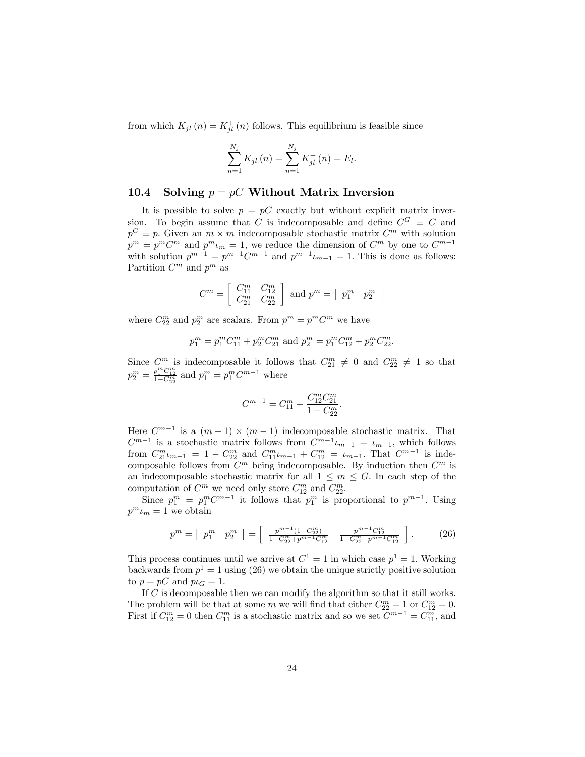from which  $K_{jl}(n) = K_{jl}^+(n)$  follows. This equilibrium is feasible since

$$
\sum_{n=1}^{N_j} K_{jl}(n) = \sum_{n=1}^{N_j} K_{jl}^+(n) = E_l.
$$

#### 10.4 Solving  $p = pC$  Without Matrix Inversion

It is possible to solve  $p = pC$  exactly but without explicit matrix inversion. To begin assume that C is indecomposable and define  $C^G \equiv C$  and  $p^G \equiv p$ . Given an  $m \times m$  indecomposable stochastic matrix  $C^m$  with solution  $p^m = p^m C^m$  and  $p^m \iota_m = 1$ , we reduce the dimension of  $C^m$  by one to  $C^{m-1}$ with solution  $p^{m-1} = p^{m-1}C^{m-1}$  and  $p^{m-1}\iota_{m-1} = 1$ . This is done as follows: Partition  $C^m$  and  $p^m$  as

$$
C^m = \left[\begin{array}{cc} C_{11}^m & C_{12}^m \\ C_{21}^m & C_{22}^m \end{array}\right] \text{ and } p^m = \left[\begin{array}{cc} p_1^m & p_2^m \end{array}\right]
$$

where  $C_{22}^m$  and  $p_2^m$  are scalars. From  $p^m = p^m C^m$  we have

$$
p_1^m = p_1^m C_{11}^m + p_2^m C_{21}^m \text{ and } p_2^m = p_1^m C_{12}^m + p_2^m C_{22}^m.
$$

Since  $C_m^m$  is indecomposable it follows that  $C_{21}^m \neq 0$  and  $C_{22}^m \neq 1$  so that  $p_2^m = \frac{p_1^m C_{12}^m}{1 - C_{22}^m}$  and  $p_1^m = p_1^m C^{m-1}$  where

$$
C^{m-1} = C_{11}^m + \frac{C_{12}^m C_{21}^m}{1 - C_{22}^m}.
$$

Here  $C^{m-1}$  is a  $(m-1) \times (m-1)$  indecomposable stochastic matrix. That  $C^{m-1}$  is a stochastic matrix follows from  $C^{m-1}\iota_{m-1} = \iota_{m-1}$ , which follows from  $C_{21}^m \iota_{m-1} = 1 - C_{22}^m$  and  $C_{11}^m \iota_{m-1} + C_{12}^m = \iota_{m-1}$ . That  $C^{m-1}$  is indecomposable follows from  $C^m$  being indecomposable. By induction then  $C^m$  is an indecomposable stochastic matrix for all  $1 \leq m \leq G$ . In each step of the computation of  $C^m$  we need only store  $C_{12}^m$  and  $C_{22}^m$ .

Since  $p_1^m = p_1^m C^{m-1}$  it follows that  $p_1^m$  is proportional to  $p^{m-1}$ . Using  $p^m \iota_m = 1$  we obtain

$$
p^{m} = \left[ p_1^{m} \quad p_2^{m} \right] = \left[ \frac{p^{m-1}(1 - C_{22}^{m})}{1 - C_{22}^{m} + p^{m-1} C_{12}^{m}} \quad \frac{p^{m-1} C_{12}^{m}}{1 - C_{22}^{m} + p^{m-1} C_{12}^{m}} \right]. \tag{26}
$$

This process continues until we arrive at  $C^1 = 1$  in which case  $p^1 = 1$ . Working backwards from  $p^1 = 1$  using (26) we obtain the unique strictly positive solution to  $p = pC$  and  $p\iota_G = 1$ .

If  $C$  is decomposable then we can modify the algorithm so that it still works. The problem will be that at some m we will find that either  $C_{22}^m = 1$  or  $C_{12}^m = 0$ . First if  $C_{12}^m = 0$  then  $C_{11}^m$  is a stochastic matrix and so we set  $C^{m-1} = C_{11}^m$ , and